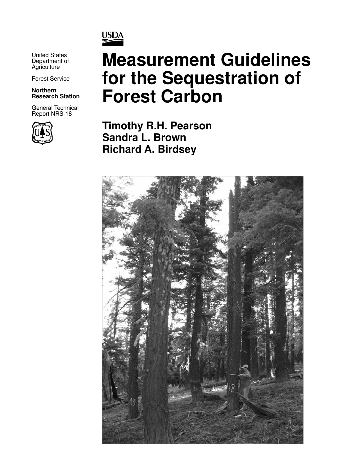

United States Department of **Agriculture** 

Forest Service

**Northern Research Station**

General Technical Report NRS-18



# **Measurement Guidelines for the Sequestration of Forest Carbon**

**Timothy R.H. Pearson Sandra L. Brown Richard A. Birdsey**

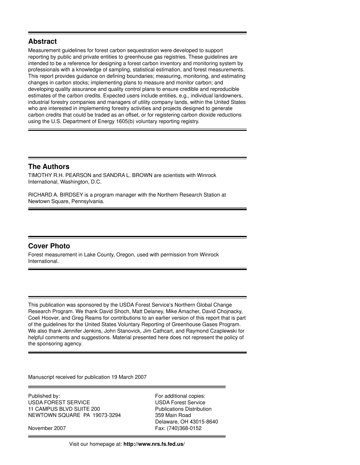#### **Abstract**

Measurement guidelines for forest carbon sequestration were developed to support reporting by public and private entities to greenhouse gas registries. These guidelines are intended to be a reference for designing a forest carbon inventory and monitoring system by professionals with a knowledge of sampling, statistical estimation, and forest measurements. This report provides guidance on defining boundaries; measuring, monitoring, and estimating changes in carbon stocks; implementing plans to measure and monitor carbon; and developing quality assurance and quality control plans to ensure credible and reproducible estimates of the carbon credits. Expected users include entities, e.g., individual landowners, industrial forestry companies and managers of utility company lands, within the United States who are interested in implementing forestry activities and projects designed to generate carbon credits that could be traded as an offset, or for registering carbon dioxide reductions using the U.S. Department of Energy 1605(b) voluntary reporting registry.

#### **The Authors**

TIMOTHY R.H. PEARSON and SANDRA L. BROWN are scientists with Winrock International, Washington, D.C.

RICHARD A. BIRDSEY is a program manager with the Northern Research Station at Newtown Square, Pennsylvania.

#### **Cover Photo**

Forest measurement in Lake County, Oregon, used with permission from Winrock International.

This publication was sponsored by the USDA Forest Service's Northern Global Change Research Program. We thank David Shoch, Matt Delaney, Mike Amacher, David Chojnacky, Coeli Hoover, and Greg Reams for contributions to an earlier version of this report that is part of the guidelines for the United States Voluntary Reporting of Greenhouse Gases Program. We also thank Jennifer Jenkins, John Stanovick, Jim Cathcart, and Raymond Czaplewski for helpful comments and suggestions. Material presented here does not represent the policy of the sponsoring agency.

Manuscript received for publication 19 March 2007

Published by: For additional copies: USDA FOREST SERVICE USDA Forest Service 11 CAMPUS BLVD SUITE 200 Publications Distribution NEWTOWN SQUARE PA 19073-3294 359 Main Road

 Delaware, OH 43015-8640 November 2007 Fax: (740)368-0152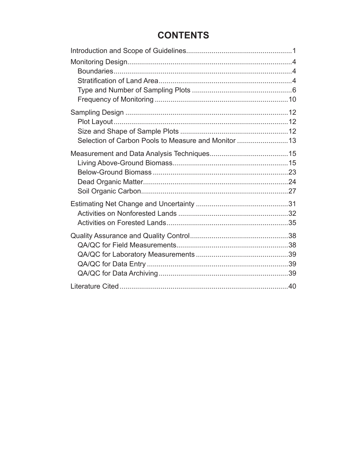## **CONTENTS**

| Selection of Carbon Pools to Measure and Monitor 13 |  |
|-----------------------------------------------------|--|
|                                                     |  |
|                                                     |  |
|                                                     |  |
|                                                     |  |
|                                                     |  |
|                                                     |  |
|                                                     |  |
|                                                     |  |
|                                                     |  |
|                                                     |  |
|                                                     |  |
|                                                     |  |
|                                                     |  |
|                                                     |  |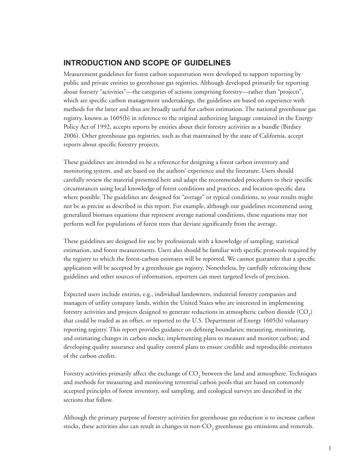## **INTRODUCTION AND SCOPE OF GUIDELINES**

Measurement guidelines for forest carbon sequestration were developed to support reporting by public and private entities to greenhouse gas registries. Although developed primarily for reporting about forestry "activities"—the categories of actions comprising forestry—rather than "projects", which are specific carbon management undertakings, the guidelines are based on experience with methods for the latter and thus are broadly useful for carbon estimation. The national greenhouse gas registry, known as 1605(b) in reference to the original authorizing language contained in the Energy Policy Act of 1992, accepts reports by entities about their forestry activities as a bundle (Birdsey 2006). Other greenhouse gas registries, such as that maintained by the state of California, accept reports about specific forestry projects.

These guidelines are intended to be a reference for designing a forest carbon inventory and monitoring system, and are based on the authors' experience and the literature. Users should carefully review the material presented here and adapt the recommended procedures to their specific circumstances using local knowledge of forest conditions and practices, and location-specifi c data where possible. The guidelines are designed for "average" or typical conditions, so your results might not be as precise as described in this report. For example, although our guidelines recommend using generalized biomass equations that represent average national conditions, these equations may not perform well for populations of forest trees that deviate significantly from the average.

These guidelines are designed for use by professionals with a knowledge of sampling, statistical estimation, and forest measurements. Users also should be familiar with specific protocols required by the registry to which the forest-carbon estimates will be reported. We cannot guarantee that a specific application will be accepted by a greenhouse gas registry. Nonetheless, by carefully referencing these guidelines and other sources of information, reporters can meet targeted levels of precision.

Expected users include entities, e.g., individual landowners, industrial forestry companies and managers of utility company lands, within the United States who are interested in implementing forestry activities and projects designed to generate reductions in atmospheric carbon dioxide (CO<sub>2</sub>) that could be traded as an offset, or reported to the U.S. Department of Energy 1605(b) voluntary reporting registry. This report provides guidance on defining boundaries; measuring, monitoring, and estimating changes in carbon stocks; implementing plans to measure and monitor carbon; and developing quality assurance and quality control plans to ensure credible and reproducible estimates of the carbon credits.

Forestry activities primarily affect the exchange of  $\mathrm{CO}_2$  between the land and atmosphere. Techniques and methods for measuring and monitoring terrestrial carbon pools that are based on commonly accepted principles of forest inventory, soil sampling, and ecological surveys are described in the sections that follow.

Although the primary purpose of forestry activities for greenhouse gas reduction is to increase carbon stocks, these activities also can result in changes in non-CO<sub>2</sub> greenhouse gas emissions and removals.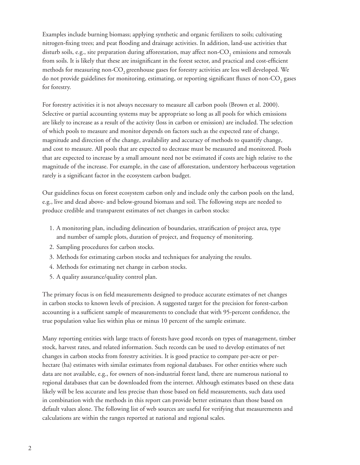Examples include burning biomass; applying synthetic and organic fertilizers to soils; cultivating nitrogen-fixing trees; and peat flooding and drainage activities. In addition, land-use activities that disturb soils, e.g., site preparation during afforestation, may affect non-CO<sub>2</sub> emissions and removals from soils. It is likely that these are insignificant in the forest sector, and practical and cost-efficient methods for measuring non-CO<sub>2</sub> greenhouse gases for forestry activities are less well developed. We do not provide guidelines for monitoring, estimating, or reporting significant fluxes of non-CO<sub>2</sub> gases for forestry.

For forestry activities it is not always necessary to measure all carbon pools (Brown et al. 2000). Selective or partial accounting systems may be appropriate so long as all pools for which emissions are likely to increase as a result of the activity (loss in carbon or emission) are included. The selection of which pools to measure and monitor depends on factors such as the expected rate of change, magnitude and direction of the change, availability and accuracy of methods to quantify change, and cost to measure. All pools that are expected to decrease must be measured and monitored. Pools that are expected to increase by a small amount need not be estimated if costs are high relative to the magnitude of the increase. For example, in the case of afforestation, understory herbaceous vegetation rarely is a significant factor in the ecosystem carbon budget.

Our guidelines focus on forest ecosystem carbon only and include only the carbon pools on the land, e.g., live and dead above- and below-ground biomass and soil. The following steps are needed to produce credible and transparent estimates of net changes in carbon stocks:

- 1. A monitoring plan, including delineation of boundaries, stratification of project area, type and number of sample plots, duration of project, and frequency of monitoring.
- 2. Sampling procedures for carbon stocks.
- Methods for estimating carbon stocks and techniques for analyzing the results. 3.
- Methods for estimating net change in carbon stocks. 4.
- A quality assurance/quality control plan. 5.

The primary focus is on field measurements designed to produce accurate estimates of net changes in carbon stocks to known levels of precision. A suggested target for the precision for forest-carbon accounting is a sufficient sample of measurements to conclude that with 95-percent confidence, the true population value lies within plus or minus 10 percent of the sample estimate.

Many reporting entities with large tracts of forests have good records on types of management, timber stock, harvest rates, and related information. Such records can be used to develop estimates of net changes in carbon stocks from forestry activities. It is good practice to compare per-acre or perhectare (ha) estimates with similar estimates from regional databases. For other entities where such data are not available, e.g., for owners of non-industrial forest land, there are numerous national to regional databases that can be downloaded from the internet. Although estimates based on these data likely will be less accurate and less precise than those based on field measurements, such data used in combination with the methods in this report can provide better estimates than those based on default values alone. The following list of web sources are useful for verifying that measurements and calculations are within the ranges reported at national and regional scales.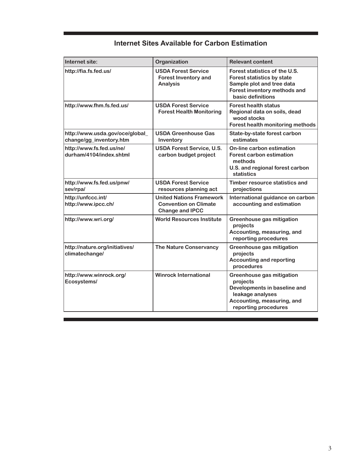| Internet site:                                            | Organization                                                                              | <b>Relevant content</b>                                                                                                                         |
|-----------------------------------------------------------|-------------------------------------------------------------------------------------------|-------------------------------------------------------------------------------------------------------------------------------------------------|
| http://fia.fs.fed.us/                                     | <b>USDA Forest Service</b><br><b>Forest Inventory and</b><br><b>Analysis</b>              | Forest statistics of the U.S.<br>Forest statistics by state<br>Sample plot and tree data<br>Forest inventory methods and<br>basic definitions   |
| http://www.fhm.fs.fed.us/                                 | <b>USDA Forest Service</b><br><b>Forest Health Monitoring</b>                             | <b>Forest health status</b><br>Regional data on soils, dead<br>wood stocks<br>Forest health monitoring methods                                  |
| http://www.usda.gov/oce/global<br>change/gg_inventory.htm | <b>USDA Greenhouse Gas</b><br>Inventory                                                   | State-by-state forest carbon<br>estimates                                                                                                       |
| http://www.fs.fed.us/ne/<br>durham/4104/index.shtml       | <b>USDA Forest Service, U.S.</b><br>carbon budget project                                 | On-line carbon estimation<br><b>Forest carbon estimation</b><br>methods<br>U.S. and regional forest carbon<br>statistics                        |
| http://www.fs.fed.us/pnw/<br>sev/rpa/                     | <b>USDA Forest Service</b><br>resources planning act                                      | Timber resource statistics and<br>projections                                                                                                   |
| http://unfccc.int/<br>http://www.ipcc.ch/                 | <b>United Nations Framework</b><br><b>Convention on Climate</b><br><b>Change and IPCC</b> | International guidance on carbon<br>accounting and estimation                                                                                   |
| http://www.wri.org/                                       | <b>World Resources Institute</b>                                                          | Greenhouse gas mitigation<br>projects<br>Accounting, measuring, and<br>reporting procedures                                                     |
| http://nature.org/initiatives/<br>climatechange/          | The Nature Conservancy                                                                    | Greenhouse gas mitigation<br>projects<br><b>Accounting and reporting</b><br>procedures                                                          |
| http://www.winrock.org/<br>Ecosystems/                    | <b>Winrock International</b>                                                              | Greenhouse gas mitigation<br>projects<br>Developments in baseline and<br>leakage analyses<br>Accounting, measuring, and<br>reporting procedures |

## **Internet Sites Available for Carbon Estimation**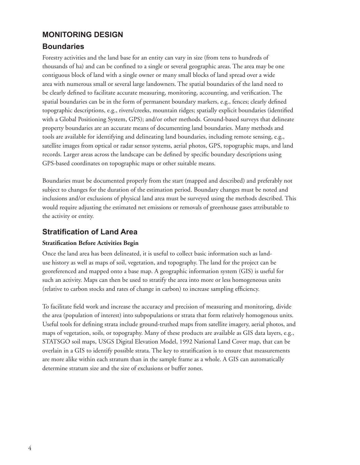## **MONITORING DESIGN**

## **Boundaries**

Forestry activities and the land base for an entity can vary in size (from tens to hundreds of thousands of ha) and can be confined to a single or several geographic areas. The area may be one contiguous block of land with a single owner or many small blocks of land spread over a wide area with numerous small or several large landowners. The spatial boundaries of the land need to be clearly defined to facilitate accurate measuring, monitoring, accounting, and verification. The spatial boundaries can be in the form of permanent boundary markers, e.g., fences; clearly defined topographic descriptions, e.g., rivers/creeks, mountain ridges; spatially explicit boundaries (identified with a Global Positioning System, GPS); and/or other methods. Ground-based surveys that delineate property boundaries are an accurate means of documenting land boundaries. Many methods and tools are available for identifying and delineating land boundaries, including remote sensing, e.g., satellite images from optical or radar sensor systems, aerial photos, GPS, topographic maps, and land records. Larger areas across the landscape can be defined by specific boundary descriptions using GPS-based coordinates on topographic maps or other suitable means.

Boundaries must be documented properly from the start (mapped and described) and preferably not subject to changes for the duration of the estimation period. Boundary changes must be noted and inclusions and/or exclusions of physical land area must be surveyed using the methods described. This would require adjusting the estimated net emissions or removals of greenhouse gases attributable to the activity or entity.

## **Stratification of Land Area**

#### **Stratification Before Activities Begin**

Once the land area has been delineated, it is useful to collect basic information such as landuse history as well as maps of soil, vegetation, and topography. The land for the project can be georeferenced and mapped onto a base map. A geographic information system (GIS) is useful for such an activity. Maps can then be used to stratify the area into more or less homogeneous units (relative to carbon stocks and rates of change in carbon) to increase sampling efficiency.

To facilitate field work and increase the accuracy and precision of measuring and monitoring, divide the area (population of interest) into subpopulations or strata that form relatively homogenous units. Useful tools for defining strata include ground-truthed maps from satellite imagery, aerial photos, and maps of vegetation, soils, or topography. Many of these products are available as GIS data layers, e.g., STATSGO soil maps, USGS Digital Elevation Model, 1992 National Land Cover map, that can be overlain in a GIS to identify possible strata. The key to stratification is to ensure that measurements are more alike within each stratum than in the sample frame as a whole. A GIS can automatically determine stratum size and the size of exclusions or buffer zones.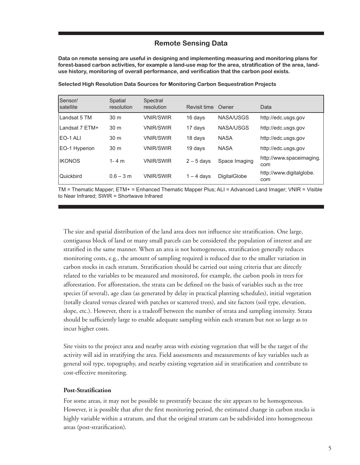#### **Remote Sensing Data**

**Data on remote sensing are useful in designing and implementing measuring and monitoring plans for forest-based carbon activities, for example a land-use map for the area, stratification of the area, landuse history, monitoring of overall performance, and verification that the carbon pool exists.**

| Sensor/        | Spatial         | Spectral         |              |                     |                                 |
|----------------|-----------------|------------------|--------------|---------------------|---------------------------------|
| satellite      | resolution      | resolution       | Revisit time | Owner               | Data                            |
| Landsat 5 TM   | 30 <sub>m</sub> | <b>VNIR/SWIR</b> | 16 days      | NASA/USGS           | http://edc.usgs.gov             |
| Landsat 7 ETM+ | 30 <sub>m</sub> | <b>VNIR/SWIR</b> | 17 days      | NASA/USGS           | http://edc.usgs.gov             |
| EO-1 ALI       | 30 <sub>m</sub> | <b>VNIR/SWIR</b> | 18 days      | <b>NASA</b>         | http://edc.usgs.gov             |
| EO-1 Hyperion  | 30 <sub>m</sub> | <b>VNIR/SWIR</b> | 19 days      | <b>NASA</b>         | http://edc.usgs.gov             |
| <b>IKONOS</b>  | $1 - 4 m$       | <b>VNIR/SWIR</b> | $2 - 5$ days | Space Imaging       | http://www.spaceimaging.<br>com |
| Quickbird      | $0.6 - 3 m$     | <b>VNIR/SWIR</b> | $-4$ days    | <b>DigitalGlobe</b> | http://www.digitalglobe.<br>com |

**Selected High Resolution Data Sources for Monitoring Carbon Sequestration Projects**

TM = Thematic Mapper; ETM+ = Enhanced Thematic Mapper Plus; ALI = Advanced Land Imager; VNIR = Visible to Near Infrared; SWIR = Shortwave Infrared

The size and spatial distribution of the land area does not influence site stratification. One large, contiguous block of land or many small parcels can be considered the population of interest and are stratified in the same manner. When an area is not homogeneous, stratification generally reduces monitoring costs, e.g., the amount of sampling required is reduced due to the smaller variation in carbon stocks in each stratum. Stratification should be carried out using criteria that are directly related to the variables to be measured and monitored, for example, the carbon pools in trees for afforestation. For afforestation, the strata can be defined on the basis of variables such as the tree species (if several), age class (as generated by delay in practical planting schedules), initial vegetation (totally cleared versus cleared with patches or scattered trees), and site factors (soil type, elevation, slope, etc.). However, there is a tradeoff between the number of strata and sampling intensity. Strata should be sufficiently large to enable adequate sampling within each stratum but not so large as to incur higher costs.

Site visits to the project area and nearby areas with existing vegetation that will be the target of the activity will aid in stratifying the area. Field assessments and measurements of key variables such as general soil type, topography, and nearby existing vegetation aid in stratifi cation and contribute to cost-effective monitoring.

#### **Post-Stratification**

For some areas, it may not be possible to prestratify because the site appears to be homogeneous. However, it is possible that after the first monitoring period, the estimated change in carbon stocks is highly variable within a stratum, and that the original stratum can be subdivided into homogeneous areas (post-stratification).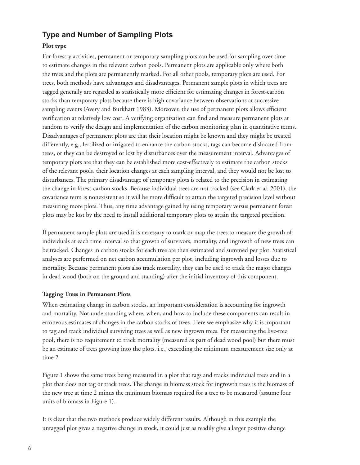## **Type and Number of Sampling Plots**

#### **Plot type**

For forestry activities, permanent or temporary sampling plots can be used for sampling over time to estimate changes in the relevant carbon pools. Permanent plots are applicable only where both the trees and the plots are permanently marked. For all other pools, temporary plots are used. For trees, both methods have advantages and disadvantages. Permanent sample plots in which trees are tagged generally are regarded as statistically more efficient for estimating changes in forest-carbon stocks than temporary plots because there is high covariance between observations at successive sampling events (Avery and Burkhart 1983). Moreover, the use of permanent plots allows efficient verification at relatively low cost. A verifying organization can find and measure permanent plots at random to verify the design and implementation of the carbon monitoring plan in quantitative terms. Disadvantages of permanent plots are that their location might be known and they might be treated differently, e.g., fertilized or irrigated to enhance the carbon stocks, tags can become dislocated from trees, or they can be destroyed or lost by disturbances over the measurement interval. Advantages of temporary plots are that they can be established more cost-effectively to estimate the carbon stocks of the relevant pools, their location changes at each sampling interval, and they would not be lost to disturbances. The primary disadvantage of temporary plots is related to the precision in estimating the change in forest-carbon stocks. Because individual trees are not tracked (see Clark et al. 2001), the covariance term is nonexistent so it will be more difficult to attain the targeted precision level without measuring more plots. Thus, any time advantage gained by using temporary versus permanent forest plots may be lost by the need to install additional temporary plots to attain the targeted precision.

If permanent sample plots are used it is necessary to mark or map the trees to measure the growth of individuals at each time interval so that growth of survivors, mortality, and ingrowth of new trees can be tracked. Changes in carbon stocks for each tree are then estimated and summed per plot. Statistical analyses are performed on net carbon accumulation per plot, including ingrowth and losses due to mortality. Because permanent plots also track mortality, they can be used to track the major changes in dead wood (both on the ground and standing) after the initial inventory of this component.

#### **Tagging Trees in Permanent Plots**

When estimating change in carbon stocks, an important consideration is accounting for ingrowth and mortality. Not understanding where, when, and how to include these components can result in erroneous estimates of changes in the carbon stocks of trees. Here we emphasize why it is important to tag and track individual surviving trees as well as new ingrown trees. For measuring the live-tree pool, there is no requirement to track mortality (measured as part of dead wood pool) but there must be an estimate of trees growing into the plots, i.e., exceeding the minimum measurement size only at time 2.

Figure 1 shows the same trees being measured in a plot that tags and tracks individual trees and in a plot that does not tag or track trees. The change in biomass stock for ingrowth trees is the biomass of the new tree at time 2 minus the minimum biomass required for a tree to be measured (assume four units of biomass in Figure 1).

It is clear that the two methods produce widely different results. Although in this example the untagged plot gives a negative change in stock, it could just as readily give a larger positive change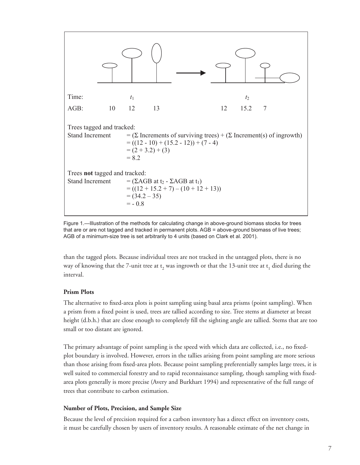

Figure 1.—Illustration of the methods for calculating change in above-ground biomass stocks for trees that are or are not tagged and tracked in permanent plots. AGB = above-ground biomass of live trees; AGB of a minimum-size tree is set arbitrarily to 4 units (based on Clark et al. 2001).

than the tagged plots. Because individual trees are not tracked in the untagged plots, there is no way of knowing that the 7-unit tree at  $\mathsf{t}_2$  was ingrowth or that the 13-unit tree at  $\mathsf{t}_1$  died during the interval.

#### **Prism Plots**

The alternative to fixed-area plots is point sampling using basal area prisms (point sampling). When a prism from a fixed point is used, trees are tallied according to size. Tree stems at diameter at breast height (d.b.h.) that are close enough to completely fill the sighting angle are tallied. Stems that are too small or too distant are ignored.

The primary advantage of point sampling is the speed with which data are collected, i.e., no fixedplot boundary is involved. However, errors in the tallies arising from point sampling are more serious than those arising from fixed-area plots. Because point sampling preferentially samples large trees, it is well suited to commercial forestry and to rapid reconnaissance sampling, though sampling with fixedarea plots generally is more precise (Avery and Burkhart 1994) and representative of the full range of trees that contribute to carbon estimation.

#### **Number of Plots, Precision, and Sample Size**

Because the level of precision required for a carbon inventory has a direct effect on inventory costs, it must be carefully chosen by users of inventory results. A reasonable estimate of the net change in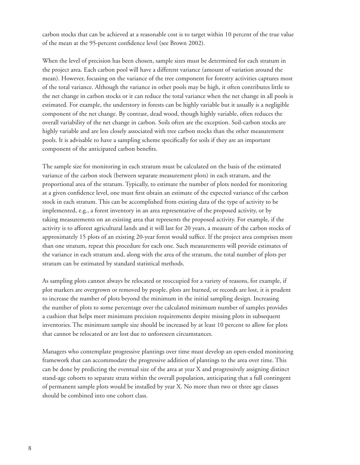carbon stocks that can be achieved at a reasonable cost is to target within 10 percent of the true value of the mean at the 95-percent confidence level (see Brown 2002).

When the level of precision has been chosen, sample sizes must be determined for each stratum in the project area. Each carbon pool will have a different variance (amount of variation around the mean). However, focusing on the variance of the tree component for forestry activities captures most of the total variance. Although the variance in other pools may be high, it often contributes little to the net change in carbon stocks or it can reduce the total variance when the net change in all pools is estimated. For example, the understory in forests can be highly variable but it usually is a negligible component of the net change. By contrast, dead wood, though highly variable, often reduces the overall variability of the net change in carbon. Soils often are the exception. Soil-carbon stocks are highly variable and are less closely associated with tree carbon stocks than the other measurement pools. It is advisable to have a sampling scheme specifically for soils if they are an important component of the anticipated carbon benefits.

The sample size for monitoring in each stratum must be calculated on the basis of the estimated variance of the carbon stock (between separate measurement plots) in each stratum, and the proportional area of the stratum. Typically, to estimate the number of plots needed for monitoring at a given confidence level, one must first obtain an estimate of the expected variance of the carbon stock in each stratum. This can be accomplished from existing data of the type of activity to be implemented, e.g., a forest inventory in an area representative of the proposed activity, or by taking measurements on an existing area that represents the proposed activity. For example, if the activity is to afforest agricultural lands and it will last for 20 years, a measure of the carbon stocks of approximately 15 plots of an existing 20-year forest would suffice. If the project area comprises more than one stratum, repeat this procedure for each one. Such measurements will provide estimates of the variance in each stratum and, along with the area of the stratum, the total number of plots per stratum can be estimated by standard statistical methods.

As sampling plots cannot always be relocated or reoccupied for a variety of reasons, for example, if plot markers are overgrown or removed by people, plots are burned, or records are lost, it is prudent to increase the number of plots beyond the minimum in the initial sampling design. Increasing the number of plots to some percentage over the calculated minimum number of samples provides a cushion that helps meet minimum precision requirements despite missing plots in subsequent inventories. The minimum sample size should be increased by at least 10 percent to allow for plots that cannot be relocated or are lost due to unforeseen circumstances.

Managers who contemplate progressive plantings over time must develop an open-ended monitoring framework that can accommodate the progressive addition of plantings to the area over time. This can be done by predicting the eventual size of the area at year X and progressively assigning distinct stand-age cohorts to separate strata within the overall population, anticipating that a full contingent of permanent sample plots would be installed by year X. No more than two or three age classes should be combined into one cohort class.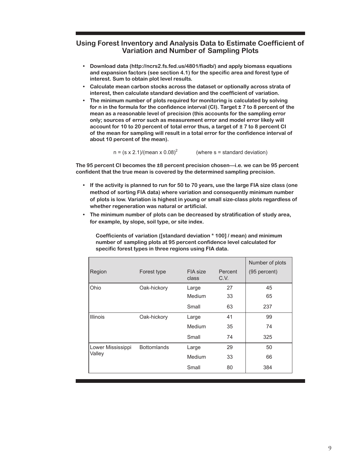#### **Using Forest Inventory and Analysis Data to Estimate Coefficient of Variation and Number of Sampling Plots**

- **Download data (http://ncrs2.fs.fed.us/4801/fiadb/) and apply biomass equations • and expansion factors (see section 4.1) for the specific area and forest type of interest. Sum to obtain plot level results.**
- **Calculate mean carbon stocks across the dataset or optionally across strata of • interest, then calculate standard deviation and the coefficient of variation.**
- **The minimum number of plots required for monitoring is calculated by solving • for n in the formula for the confidence interval (CI). Target ± 7 to 8 percent of the mean as a reasonable level of precision (this accounts for the sampling error only; sources of error such as measurement error and model error likely will account for 10 to 20 percent of total error thus, a target of ± 7 to 8 percent CI of the mean for sampling will result in a total error for the confidence interval of about 10 percent of the mean).**

 $n = (s \times 2.1)/(mean \times 0.08)^2$  (where s = standard deviation)

**The 95 percent CI becomes the ±8 percent precision chosen—i.e. we can be 95 percent confident that the true mean is covered by the determined sampling precision.**

- **If the activity is planned to run for 50 to 70 years, use the large FIA size class (one method of sorting FIA data) where variation and consequently minimum number of plots is low. Variation is highest in young or small size-class plots regardless of whether regeneration was natural or artificial. •**
- **The minimum number of plots can be decreased by stratification of study area, •for example, by slope, soil type, or site index.**

**Coefficients of variation ([standard deviation \* 100] / mean) and minimum number of sampling plots at 95 percent confidence level calculated for specific forest types in three regions using FIA data.**

|                   |                    |                   |                 | Number of plots |
|-------------------|--------------------|-------------------|-----------------|-----------------|
| Region            | Forest type        | FIA size<br>class | Percent<br>C.V. | (95 percent)    |
| Ohio              | Oak-hickory        | Large             | 27              | 45              |
|                   |                    | Medium            | 33              | 65              |
|                   |                    | Small             | 63              | 237             |
| <b>Illinois</b>   | Oak-hickory        | Large             | 41              | 99              |
|                   |                    | Medium            | 35              | 74              |
|                   |                    | Small             | 74              | 325             |
| Lower Mississippi | <b>Bottomlands</b> | Large             | 29              | 50              |
| Valley            |                    | Medium            | 33              | 66              |
|                   |                    | Small             | 80              | 384             |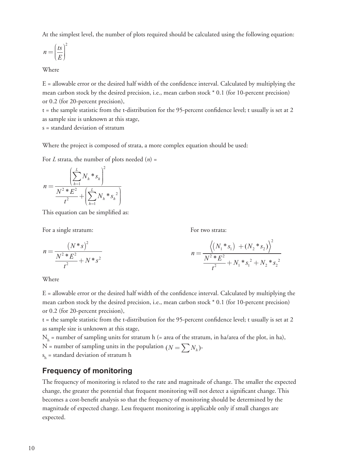At the simplest level, the number of plots required should be calculated using the following equation:

$$
n = \left(\frac{ts}{E}\right)^2
$$

#### Where

 $E =$  allowable error or the desired half width of the confidence interval. Calculated by multiplying the mean carbon stock by the desired precision, i.e., mean carbon stock \* 0.1 (for 10-percent precision) or 0.2 (for 20-percent precision),

 $t =$  the sample statistic from the t-distribution for the 95-percent confidence level; t usually is set at 2 as sample size is unknown at this stage,

s = standard deviation of stratum

Where the project is composed of strata, a more complex equation should be used:

For *L* strata, the number of plots needed (*n*) =

$$
n = \frac{\left(\sum_{h=1}^{L} N_h * s_h\right)^2}{\frac{N^2 * E^2}{t^2} + \left(\sum_{h=1}^{L} N_h * s_h^2\right)}
$$

This equation can be simplified as:

For a single stratum: For two strata:

$$
n = \frac{(N^*s)^2}{\frac{N^2 * E^2}{t^2} + N * s^2}
$$
\n
$$
n = \frac{\left\langle \left(N_1 * s_1\right) + \left(N_2 * s_2\right)\right\rangle^2}{\frac{N^2 * E^2}{t^2} + N_1 * s_1^2 + N_2 * s_2^2}
$$

Where

 $E =$  allowable error or the desired half width of the confidence interval. Calculated by multiplying the mean carbon stock by the desired precision, i.e., mean carbon stock \* 0.1 (for 10-percent precision) or 0.2 (for 20-percent precision),

 $t =$  the sample statistic from the t-distribution for the 95-percent confidence level; t usually is set at 2 as sample size is unknown at this stage,

 $N<sub>h</sub>$  = number of sampling units for stratum h (= area of the stratum, in ha/area of the plot, in ha),

N = number of sampling units in the population  $(N = \sum N_h)$ ,

 $s_{\rm h}$  = standard deviation of stratum h

## **Frequency of monitoring**

The frequency of monitoring is related to the rate and magnitude of change. The smaller the expected change, the greater the potential that frequent monitoring will not detect a significant change. This becomes a cost-benefit analysis so that the frequency of monitoring should be determined by the magnitude of expected change. Less frequent monitoring is applicable only if small changes are expected.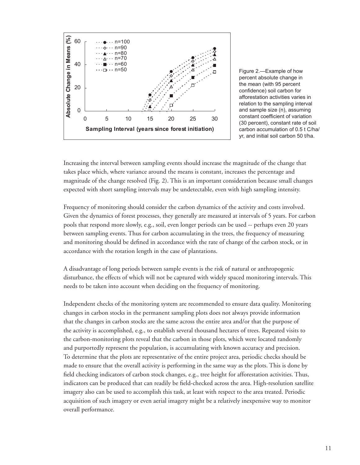

Figure 2.—Example of how percent absolute change in the mean (with 95 percent confidence) soil carbon for afforestation activities varies in relation to the sampling interval and sample size (n), assuming constant coefficient of variation (30 percent), constant rate of soil carbon accumulation of 0.5 t C/ha/ yr, and initial soil carbon 50 t/ha.

Increasing the interval between sampling events should increase the magnitude of the change that takes place which, where variance around the means is constant, increases the percentage and magnitude of the change resolved (Fig. 2). This is an important consideration because small changes expected with short sampling intervals may be undetectable, even with high sampling intensity.

Frequency of monitoring should consider the carbon dynamics of the activity and costs involved. Given the dynamics of forest processes, they generally are measured at intervals of 5 years. For carbon pools that respond more slowly, e.g., soil, even longer periods can be used -- perhaps even 20 years between sampling events. Thus for carbon accumulating in the trees, the frequency of measuring and monitoring should be defined in accordance with the rate of change of the carbon stock, or in accordance with the rotation length in the case of plantations.

A disadvantage of long periods between sample events is the risk of natural or anthropogenic disturbance, the effects of which will not be captured with widely spaced monitoring intervals. This needs to be taken into account when deciding on the frequency of monitoring.

Independent checks of the monitoring system are recommended to ensure data quality. Monitoring changes in carbon stocks in the permanent sampling plots does not always provide information that the changes in carbon stocks are the same across the entire area and/or that the purpose of the activity is accomplished, e.g., to establish several thousand hectares of trees. Repeated visits to the carbon-monitoring plots reveal that the carbon in those plots, which were located randomly and purportedly represent the population, is accumulating with known accuracy and precision. To determine that the plots are representative of the entire project area, periodic checks should be made to ensure that the overall activity is performing in the same way as the plots. This is done by field checking indicators of carbon stock changes, e.g., tree height for afforestation activities. Thus, indicators can be produced that can readily be field-checked across the area. High-resolution satellite imagery also can be used to accomplish this task, at least with respect to the area treated. Periodic acquisition of such imagery or even aerial imagery might be a relatively inexpensive way to monitor overall performance.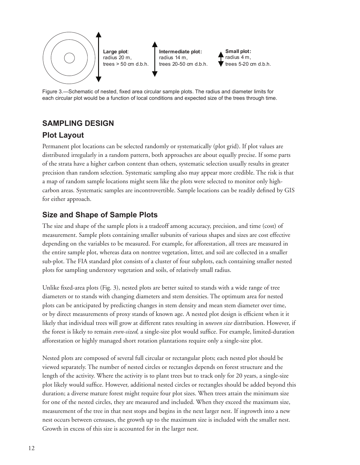

Figure 3.—Schematic of nested, fixed area circular sample plots. The radius and diameter limits for each circular plot would be a function of local conditions and expected size of the trees through time.

## **SAMPLING DESIGN**

## **Plot Layout**

Permanent plot locations can be selected randomly or systematically (plot grid). If plot values are distributed irregularly in a random pattern, both approaches are about equally precise. If some parts of the strata have a higher carbon content than others, systematic selection usually results in greater precision than random selection. Systematic sampling also may appear more credible. The risk is that a map of random sample locations might seem like the plots were selected to monitor only highcarbon areas. Systematic samples are incontrovertible. Sample locations can be readily defined by GIS for either approach.

## **Size and Shape of Sample Plots**

The size and shape of the sample plots is a tradeoff among accuracy, precision, and time (cost) of measurement. Sample plots containing smaller subunits of various shapes and sizes are cost effective depending on the variables to be measured. For example, for afforestation, all trees are measured in the entire sample plot, whereas data on nontree vegetation, litter, and soil are collected in a smaller sub-plot. The FIA standard plot consists of a cluster of four subplots, each containing smaller nested plots for sampling understory vegetation and soils, of relatively small radius.

Unlike fixed-area plots (Fig. 3), nested plots are better suited to stands with a wide range of tree diameters or to stands with changing diameters and stem densities. The optimum area for nested plots can be anticipated by predicting changes in stem density and mean stem diameter over time, or by direct measurements of proxy stands of known age. A nested plot design is efficient when it it likely that individual trees will grow at different rates resulting in *uneven size* distribution. However, if the forest is likely to remain *even-sized*, a single-size plot would suffice. For example, limited-duration afforestation or highly managed short rotation plantations require only a single-size plot.

Nested plots are composed of several full circular or rectangular plots; each nested plot should be viewed separately. The number of nested circles or rectangles depends on forest structure and the length of the activity. Where the activity is to plant trees but to track only for 20 years, a single-size plot likely would suffice. However, additional nested circles or rectangles should be added beyond this duration; a diverse mature forest might require four plot sizes. When trees attain the minimum size for one of the nested circles, they are measured and included. When they exceed the maximum size, measurement of the tree in that nest stops and begins in the next larger nest. If ingrowth into a new nest occurs between censuses, the growth up to the maximum size is included with the smaller nest. Growth in excess of this size is accounted for in the larger nest.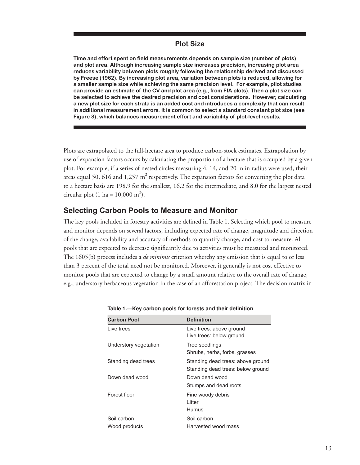#### **Plot Size**

**Time and effort spent on field measurements depends on sample size (number of plots) and plot area. Although increasing sample size increases precision, increasing plot area reduces variability between plots roughly following the relationship derived and discussed by Freese (1962). By increasing plot area, variation between plots is reduced, allowing for a smaller sample size while achieving the same precision level. For example, pilot studies can provide an estimate of the CV and plot area (e.g., from FIA plots). Then a plot size can be selected to achieve the desired precision and cost considerations. However, calculating a new plot size for each strata is an added cost and introduces a complexity that can result in additional measurement errors. It is common to select a standard constant plot size (see Figure 3), which balances measurement effort and variability of plot-level results.**

Plots are extrapolated to the full-hectare area to produce carbon-stock estimates. Extrapolation by use of expansion factors occurs by calculating the proportion of a hectare that is occupied by a given plot. For example, if a series of nested circles measuring 4, 14, and 20 m in radius were used, their areas equal 50, 616 and 1,257  $\text{m}^{2}$  respectively. The expansion factors for converting the plot data to a hectare basis are 198.9 for the smallest, 16.2 for the intermediate, and 8.0 for the largest nested circular plot (1 ha =  $10,000 \text{ m}^2$ ).

#### **Selecting Carbon Pools to Measure and Monitor**

The key pools included in forestry activities are defined in Table 1. Selecting which pool to measure and monitor depends on several factors, including expected rate of change, magnitude and direction of the change, availability and accuracy of methods to quantify change, and cost to measure. All pools that are expected to decrease significantly due to activities must be measured and monitored. The 1605(b) process includes a *de minimis* criterion whereby any emission that is equal to or less than 3 percent of the total need not be monitored. Moreover, it generally is not cost effective to monitor pools that are expected to change by a small amount relative to the overall rate of change, e.g., understory herbaceous vegetation in the case of an afforestation project. The decision matrix in

| <b>Carbon Pool</b>           | <b>Definition</b>                                                      |
|------------------------------|------------------------------------------------------------------------|
| Live trees                   | Live trees: above ground<br>Live trees: below ground                   |
| Understory vegetation        | Tree seedlings<br>Shrubs, herbs, forbs, grasses                        |
| Standing dead trees          | Standing dead trees: above ground<br>Standing dead trees: below ground |
| Down dead wood               | Down dead wood<br>Stumps and dead roots                                |
| Forest floor                 | Fine woody debris<br>Litter<br>Humus                                   |
| Soil carbon<br>Wood products | Soil carbon<br>Harvested wood mass                                     |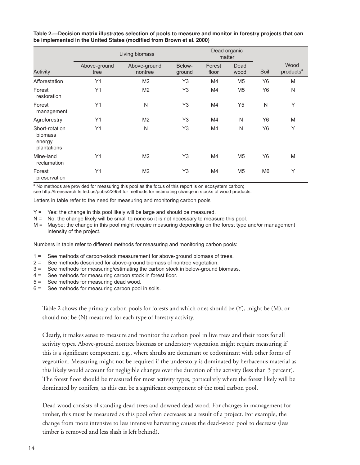|                                                    |                      | Living biomass          |                  | matter          | Dead organic   |                |                               |
|----------------------------------------------------|----------------------|-------------------------|------------------|-----------------|----------------|----------------|-------------------------------|
| Activity                                           | Above-ground<br>tree | Above-ground<br>nontree | Below-<br>ground | Forest<br>floor | Dead<br>wood   | Soil           | Wood<br>products <sup>a</sup> |
| Afforestation                                      | Y1                   | M <sub>2</sub>          | Y <sub>3</sub>   | M4              | M <sub>5</sub> | Y <sub>6</sub> | M                             |
| Forest<br>restoration                              | Y1                   | M <sub>2</sub>          | Y3               | M4              | M <sub>5</sub> | Y <sub>6</sub> | N                             |
| Forest<br>management                               | Y1                   | N                       | Y3               | M4              | Y <sub>5</sub> | N              | Y                             |
| Agroforestry                                       | Y1                   | M <sub>2</sub>          | Y3               | M4              | N              | Y6             | M                             |
| Short-rotation<br>biomass<br>energy<br>plantations | Y1                   | N                       | Y3               | M4              | N              | Y <sub>6</sub> | Y                             |
| Mine-land<br>reclamation                           | Y1                   | M <sub>2</sub>          | Y3               | M4              | M <sub>5</sub> | Y6             | M                             |
| Forest<br>preservation                             | Y1                   | M <sub>2</sub>          | Y3               | M4              | M <sub>5</sub> | M <sub>6</sub> | Y                             |

**Table 2.—Decision matrix illustrates selection of pools to measure and monitor in forestry projects that can be implemented in the United States (modified from Brown et al. 2000)**

<sup>a</sup> No methods are provided for measuring this pool as the focus of this report is on ecosystem carbon;

see http://treesearch.fs.fed.us/pubs/22954 for methods for estimating change in stocks of wood products.

Letters in table refer to the need for measuring and monitoring carbon pools

- Y = Yes: the change in this pool likely will be large and should be measured.
- N = No: the change likely will be small to none so it is not necessary to measure this pool.
- M = Maybe: the change in this pool might require measuring depending on the forest type and/or management intensity of the project.

Numbers in table refer to different methods for measuring and monitoring carbon pools:

- 1 = See methods of carbon-stock measurement for above-ground biomass of trees.
- 2 = See methods described for above-ground biomass of nontree vegetation.
- 3 = See methods for measuring/estimating the carbon stock in below-ground biomass.
- 4 = See methods for measuring carbon stock in forest floor.
- 5 = See methods for measuring dead wood.
- 6 = See methods for measuring carbon pool in soils.

Table 2 shows the primary carbon pools for forests and which ones should be (Y), might be (M), or should not be (N) measured for each type of forestry activity.

Clearly, it makes sense to measure and monitor the carbon pool in live trees and their roots for all activity types. Above-ground nontree biomass or understory vegetation might require measuring if this is a significant component, e.g., where shrubs are dominant or codominant with other forms of vegetation. Measuring might not be required if the understory is dominated by herbaceous material as this likely would account for negligible changes over the duration of the activity (less than 3 percent). The forest floor should be measured for most activity types, particularly where the forest likely will be dominated by conifers, as this can be a significant component of the total carbon pool.

Dead wood consists of standing dead trees and downed dead wood. For changes in management for timber, this must be measured as this pool often decreases as a result of a project. For example, the change from more intensive to less intensive harvesting causes the dead-wood pool to decrease (less timber is removed and less slash is left behind).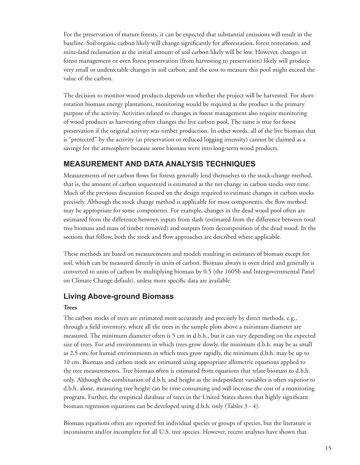For the preservation of mature forests, it can be expected that substantial emissions will result in the baseline. Soil organic carbon likely will change significantly for afforestation, forest restoration, and mine-land reclamation as the initial amount of soil carbon likely will be low. However, changes in forest management or even forest preservation (from harvesting to preservation) likely will produce very small or undetectable changes in soil carbon, and the cost to measure this pool might exceed the value of the carbon.

The decision to monitor wood products depends on whether the project will be harvested. For shortrotation biomass energy plantations, monitoring would be required as the product is the primary purpose of the activity. Activities related to changes in forest management also require monitoring of wood products as harvesting often changes the live carbon pool. The same is true for forest preservation if the original activity was timber production. In other words, all of the live biomass that is "protected" by the activity (as preservation or reduced logging intensity) cannot be claimed as a savings for the atmosphere because some biomass went into long-term wood products.

## **MEASUREMENT AND DATA ANALYSIS TECHNIQUES**

Measurements of net carbon flows for forests generally lend themselves to the stock-change method, that is, the amount of carbon sequestered is estimated as the net change in carbon stocks over time. Much of the previous discussion focused on the design required to estimate changes in carbon stocks precisely. Although the stock change method is applicable for most components, the flow method may be appropriate for some components. For example, changes in the dead wood pool often are estimated from the difference between inputs from slash (estimated from the difference between total tree biomass and mass of timber removed) and outputs from decomposition of the dead wood. In the sections that follow, both the stock and flow approaches are described where applicable.

These methods are based on measurements and models resulting in estimates of biomass except for soil, which can be measured directly in units of carbon. Biomass always is oven dried and generally is converted to units of carbon by multiplying biomass by 0.5 (the 1605b and Intergovernmental Panel on Climate Change default), unless more specific data are available.

## **Living Above-ground Biomass**

#### **Trees**

The carbon stocks of trees are estimated most accurately and precisely by direct methods, e.g., through a field inventory, where all the trees in the sample plots above a minimum diameter are measured. The minimum diameter often is 5 cm in d.b.h., but it can vary depending on the expected size of trees. For arid environments in which trees grow slowly, the minimum d.b.h. may be as small as 2.5 cm; for humid environments in which trees grow rapidly, the minimum d.b.h. may be up to 10 cm. Biomass and carbon stock are estimated using appropriate allometric equations applied to the tree measurements. Tree biomass often is estimated from equations that relate biomass to d.b.h. only. Although the combination of d.b.h. and height as the independent variables is often superior to d.b.h. alone, measuring tree height can be time consuming and will increase the cost of a monitoring program. Further, the empirical database of trees in the United States shows that highly significant biomass regression equations can be developed using d.b.h. only (Tables 3 - 4).

Biomass equations often are reported for individual species or groups of species, but the literature is inconsistent and/or incomplete for all U.S. tree species. However, recent analyses have shown that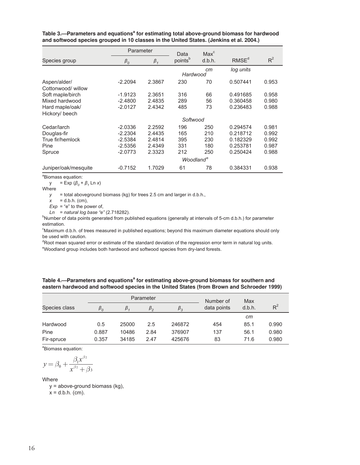|                      | Parameter   |           | Data                  | Max <sup>c</sup> |                   |       |
|----------------------|-------------|-----------|-----------------------|------------------|-------------------|-------|
| Species group        | $\beta_{0}$ | $\beta_1$ | points <sup>b</sup>   | d.b.h.           | RMSE <sup>d</sup> | $R^2$ |
|                      |             |           | Hardwood              | cm               | log units         |       |
| Aspen/alder/         | $-2.2094$   | 2.3867    | 230                   | 70               | 0.507441          | 0.953 |
| Cottonwood/willow    |             |           |                       |                  |                   |       |
| Soft maple/birch     | $-1.9123$   | 2.3651    | 316                   | 66               | 0.491685          | 0.958 |
| Mixed hardwood       | $-2.4800$   | 2.4835    | 289                   | 56               | 0.360458          | 0.980 |
| Hard maple/oak/      | $-2.0127$   | 2.4342    | 485                   | 73               | 0.236483          | 0.988 |
| Hickory/ beech       |             |           |                       |                  |                   |       |
|                      |             |           | Softwood              |                  |                   |       |
| Cedar/larch          | $-2.0336$   | 2.2592    | 196                   | 250              | 0.294574          | 0.981 |
| Douglas-fir          | $-2.2304$   | 2.4435    | 165                   | 210              | 0.218712          | 0.992 |
| True fir/hemlock     | $-2.5384$   | 2.4814    | 395                   | 230              | 0.182329          | 0.992 |
| Pine                 | $-2.5356$   | 2.4349    | 331                   | 180              | 0.253781          | 0.987 |
| Spruce               | $-2.0773$   | 2.3323    | 212                   | 250              | 0.250424          | 0.988 |
|                      |             |           | Woodland <sup>e</sup> |                  |                   |       |
| Juniper/oak/mesquite | $-0.7152$   | 1.7029    | 61                    | 78               | 0.384331          | 0.938 |

Table 3.—Parameters and equations<sup>a</sup> for estimating total above-ground biomass for hardwood **and softwood species grouped in 10 classes in the United States. (Jenkins et al. 2004.)**

<sup>a</sup>Biomass equation:

 $y = Exp (\beta_0 + \beta_1 Ln x)$ 

Where

*y* = total aboveground biomass (kg) for trees 2.5 cm and larger in d.b.h.,

 $x = d.b.h.$  (cm),

 $Exp = "e"$  to the power of,

*Ln* = *natural log base "e"* (2.718282).

<sup>b</sup>Number of data points generated from published equations (generally at intervals of 5-cm d.b.h.) for parameter estimation.

<sup>c</sup>Maximum d.b.h. of trees measured in published equations; beyond this maximum diameter equations should only be used with caution.

<sup>d</sup>Root mean squared error or estimate of the standard deviation of the regression error term in natural log units. e Woodland group includes both hardwood and softwood species from dry-land forests.

| <b>YOUGHIG GIUD INCIDES DUIT HATUWOUG AND SULWOUG SPECIES HUIT OF FRIM TUFSIS.</b> |  |  |  |
|------------------------------------------------------------------------------------|--|--|--|
|                                                                                    |  |  |  |

| Table 4.—Parameters and equations <sup>a</sup> for estimating above-ground biomass for southern and |
|-----------------------------------------------------------------------------------------------------|
| eastern hardwood and softwood species in the United States (from Brown and Schroeder 1999)          |

|               |           |         | Parameter | Number of   | Max         |        |       |
|---------------|-----------|---------|-----------|-------------|-------------|--------|-------|
| Species class | $\beta_o$ | $\beta$ | $\beta$   | $\beta_{3}$ | data points | d.b.h. | $R^2$ |
|               |           |         |           |             |             | cm     |       |
| Hardwood      | 0.5       | 25000   | 2.5       | 246872      | 454         | 85.1   | 0.990 |
| Pine          | 0.887     | 10486   | 2.84      | 376907      | 137         | 56.1   | 0.980 |
| Fir-spruce    | 0.357     | 34185   | 2.47      | 425676      | 83          | 71.6   | 0.980 |

<sup>a</sup>Biomass equation:

$$
y = \beta_0 + \frac{\beta_1 x^{\beta_2}}{x^{\beta_2} + \beta_3}
$$

Where

 y = above-ground biomass (kg),  $x = d.b.h.$  (cm).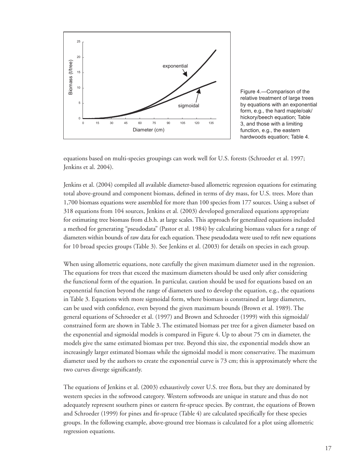

Figure 4.—Comparison of the relative treatment of large trees by equations with an exponential form, e.g., the hard maple/oak/ hickory/beech equation; Table 3, and those with a limiting function, e.g., the eastern hardwoods equation; Table 4.

equations based on multi-species groupings can work well for U.S. forests (Schroeder et al. 1997; Jenkins et al. 2004).

Jenkins et al. (2004) compiled all available diameter-based allometric regression equations for estimating total above-ground and component biomass, defined in terms of dry mass, for U.S. trees. More than 1,700 biomass equations were assembled for more than 100 species from 177 sources. Using a subset of 318 equations from 104 sources, Jenkins et al. (2003) developed generalized equations appropriate for estimating tree biomass from d.b.h. at large scales. This approach for generalized equations included a method for generating "pseudodata" (Pastor et al. 1984) by calculating biomass values for a range of diameters within bounds of raw data for each equation. These pseudodata were used to refit new equations for 10 broad species groups (Table 3). See Jenkins et al. (2003) for details on species in each group.

When using allometric equations, note carefully the given maximum diameter used in the regression. The equations for trees that exceed the maximum diameters should be used only after considering the functional form of the equation. In particular, caution should be used for equations based on an exponential function beyond the range of diameters used to develop the equation, e.g., the equations in Table 3. Equations with more sigmoidal form, where biomass is constrained at large diameters, can be used with confidence, even beyond the given maximum bounds (Brown et al. 1989). The general equations of Schroeder et al. (1997) and Brown and Schroeder (1999) with this sigmoidal/ constrained form are shown in Table 3. The estimated biomass per tree for a given diameter based on the exponential and sigmoidal models is compared in Figure 4. Up to about 75 cm in diameter, the models give the same estimated biomass per tree. Beyond this size, the exponential models show an increasingly larger estimated biomass while the sigmoidal model is more conservative. The maximum diameter used by the authors to create the exponential curve is 73 cm; this is approximately where the two curves diverge significantly.

The equations of Jenkins et al. (2003) exhaustively cover U.S. tree flora, but they are dominated by western species in the softwood category. Western softwoods are unique in stature and thus do not adequately represent southern pines or eastern fir-spruce species. By contrast, the equations of Brown and Schroeder (1999) for pines and fir-spruce (Table 4) are calculated specifically for these species groups. In the following example, above-ground tree biomass is calculated for a plot using allometric regression equations.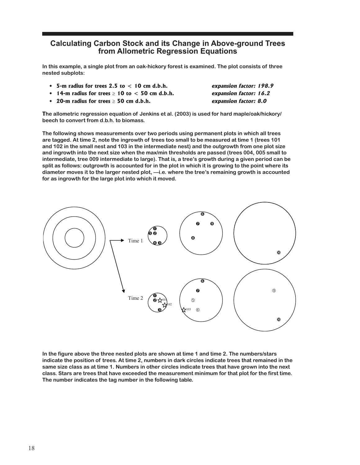#### **Calculating Carbon Stock and its Change in Above-ground Trees from Allometric Regression Equations**

**In this example, a single plot from an oak-hickory forest is examined. The plot consists of three nested subplots:**

- **5-m radius for trees 2.5 to < 10 cm d.b.h. expansion factor: 198.9 •**
- **14-m radius for trees** ≥ **10 to < 50 cm d.b.h. expansion factor: 16.2 •**
- 
- **20-m radius for trees** ≥ **50 cm d.b.h. expansion factor: 8.0 •**

**The allometric regression equation of Jenkins et al. (2003) is used for hard maple/oak/hickory/ beech to convert from d.b.h. to biomass.**

**The following shows measurements over two periods using permanent plots in which all trees are tagged. At time 2, note the ingrowth of trees too small to be measured at time 1 (trees 101 and 102 in the small nest and 103 in the intermediate nest) and the outgrowth from one plot size and ingrowth into the next size when the max/min thresholds are passed (trees 004, 005 small to intermediate, tree 009 intermediate to large). That is, a tree's growth during a given period can be split as follows: outgrowth is accounted for in the plot in which it is growing to the point where its diameter moves it to the larger nested plot, —i.e. where the tree's remaining growth is accounted for as ingrowth for the large plot into which it moved.**



**In the figure above the three nested plots are shown at time 1 and time 2. The numbers/stars indicate the position of trees. At time 2, numbers in dark circles indicate trees that remained in the same size class as at time 1. Numbers in other circles indicate trees that have grown into the next class. Stars are trees that have exceeded the measurement minimum for that plot for the first time. The number indicates the tag number in the following table.**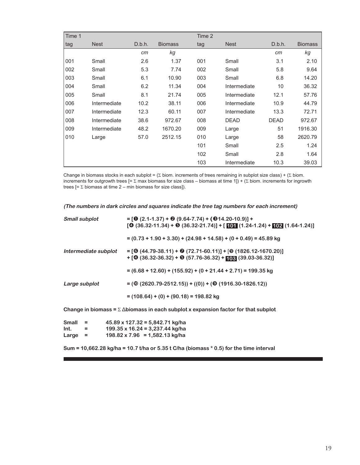| Time 1 |              |        |                | Time 2 |              |             |                |
|--------|--------------|--------|----------------|--------|--------------|-------------|----------------|
| tag    | <b>Nest</b>  | D.b.h. | <b>Biomass</b> | tag    | <b>Nest</b>  | D.b.h.      | <b>Biomass</b> |
|        |              | cm     | kg             |        |              | cm          | kg             |
| 001    | Small        | 2.6    | 1.37           | 001    | Small        | 3.1         | 2.10           |
| 002    | Small        | 5.3    | 7.74           | 002    | Small        | 5.8         | 9.64           |
| 003    | Small        | 6.1    | 10.90          | 003    | Small        | 6.8         | 14.20          |
| 004    | Small        | 6.2    | 11.34          | 004    | Intermediate | 10          | 36.32          |
| 005    | Small        | 8.1    | 21.74          | 005    | Intermediate | 12.1        | 57.76          |
| 006    | Intermediate | 10.2   | 38.11          | 006    | Intermediate | 10.9        | 44.79          |
| 007    | Intermediate | 12.3   | 60.11          | 007    | Intermediate | 13.3        | 72.71          |
| 008    | Intermediate | 38.6   | 972.67         | 008    | <b>DEAD</b>  | <b>DEAD</b> | 972.67         |
| 009    | Intermediate | 48.2   | 1670.20        | 009    | Large        | 51          | 1916.30        |
| 010    | Large        | 57.0   | 2512.15        | 010    | Large        | 58          | 2620.79        |
|        |              |        |                | 101    | Small        | 2.5         | 1.24           |
|        |              |        |                | 102    | Small        | 2.8         | 1.64           |
|        |              |        |                | 103    | Intermediate | 10.3        | 39.03          |

Change in biomass stocks in each subplot =  $(\Sigma$  biom. increments of trees remaining in subplot size class) +  $(\Sigma$  biom. increments for outgrowth trees  $[=\Sigma \text{ max}$  biomass for size class – biomass at time 1]) + ( $\Sigma$  biom. increments for ingrowth trees  $[=\Sigma$  biomass at time 2 – min biomass for size class]).

**(The numbers in dark circles and squares indicate the tree tag numbers for each increment)**

| <b>Small subplot</b> | $= [\mathbf{0} (2.1 - 1.37) + \mathbf{0} (9.64 - 7.74) + (\mathbf{0} 14.20 - 10.9)] +$<br>$[① (36.32-11.34) + ③ (36.32-21.74)] + [① 1 (1.24-1.24) + ② 2 (1.64-1.24)]$ |
|----------------------|-----------------------------------------------------------------------------------------------------------------------------------------------------------------------|
|                      | $= (0.73 + 1.90 + 3.30) + (24.98 + 14.58) + (0 + 0.49) = 45.89$ kg                                                                                                    |
| Intermediate subplot | $=$ [O (44.79-38.11) + O (72.71-60.11)] + [O (1826.12-1670.20)]<br>$+$ [ $\bullet$ (36.32-36.32) + $\bullet$ (57.76-36.32) + [08] (39.03-36.32)]                      |
|                      | $= (6.68 + 12.60) + (155.92) + (0 + 21.44 + 2.71) = 199.35$ kg                                                                                                        |
| Large subplot        | $=$ ( $\Phi$ (2620.79-2512.15)) + ((0)) + ( $\Theta$ (1916.30-1826.12))                                                                                               |
|                      | $= (108.64) + (0) + (90.18) = 198.82$ kg                                                                                                                              |

**Change in biomass =** Σ Δ**biomass in each subplot x expansion factor for that subplot**

| Small | $=$ | $45.89 \times 127.32 = 5,842.71$ kg/ha |
|-------|-----|----------------------------------------|
| Int.  | =   | 199.35 x 16.24 = 3,237.44 kg/ha        |
| Large | $=$ | $198.82 \times 7.96 = 1,582.13$ kg/ha  |

**Sum = 10,662.28 kg/ha = 10.7 t/ha or 5.35 t C/ha (biomass \* 0.5) for the time interval**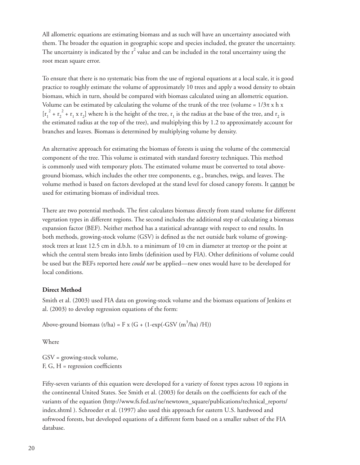All allometric equations are estimating biomass and as such will have an uncertainty associated with them. The broader the equation in geographic scope and species included, the greater the uncertainty. The uncertainty is indicated by the  $r^2$  value and can be included in the total uncertainty using the root mean square error.

To ensure that there is no systematic bias from the use of regional equations at a local scale, it is good practice to roughly estimate the volume of approximately 10 trees and apply a wood density to obtain biomass, which in turn, should be compared with biomass calculated using an allometric equation. Volume can be estimated by calculating the volume of the trunk of the tree (volume =  $1/3\pi$  x h x  $[r_1^2 + r_2^2 + r_1 \times r_2]$  where h is the height of the tree,  $r_1$  is the radius at the base of the tree, and  $r_2$  is the estimated radius at the top of the tree), and multiplying this by 1.2 to approximately account for branches and leaves. Biomass is determined by multiplying volume by density.

An alternative approach for estimating the biomass of forests is using the volume of the commercial component of the tree. This volume is estimated with standard forestry techniques. This method is commonly used with temporary plots. The estimated volume must be converted to total aboveground biomass, which includes the other tree components, e.g., branches, twigs, and leaves. The volume method is based on factors developed at the stand level for closed canopy forests. It cannot be used for estimating biomass of individual trees.

There are two potential methods. The first calculates biomass directly from stand volume for different vegetation types in different regions. The second includes the additional step of calculating a biomass expansion factor (BEF). Neither method has a statistical advantage with respect to end results. In both methods, growing-stock volume (GSV) is defined as the net outside bark volume of growingstock trees at least 12.5 cm in d.b.h. to a minimum of 10 cm in diameter at treetop or the point at which the central stem breaks into limbs (definition used by FIA). Other definitions of volume could be used but the BEFs reported here *could not* be applied—new ones would have to be developed for local conditions.

#### **Direct Method**

Smith et al. (2003) used FIA data on growing-stock volume and the biomass equations of Jenkins et al. (2003) to develop regression equations of the form:

Above-ground biomass (t/ha) = F x (G + (1-exp(-GSV (m<sup>3</sup>/ha) /H))

Where

GSV = growing-stock volume,  $F, G, H$  = regression coefficients

Fifty-seven variants of this equation were developed for a variety of forest types across 10 regions in the continental United States. See Smith et al. (2003) for details on the coefficients for each of the variants of the equation (http://www.fs.fed.us/ne/newtown\_square/publications/technical\_reports/ index.shtml ). Schroeder et al. (1997) also used this approach for eastern U.S. hardwood and softwood forests, but developed equations of a different form based on a smaller subset of the FIA database.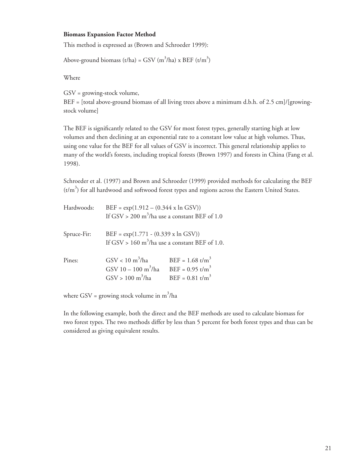#### **Biomass Expansion Factor Method**

This method is expressed as (Brown and Schroeder 1999):

Above-ground biomass (t/ha) = GSV (m<sup>3</sup>/ha) x BEF (t/m<sup>3</sup>)

Where

GSV = growing-stock volume,

 $BEF = [total above-ground biomass of all living trees above a minimum d.b.h. of 2.5 cm]/[growing$ stock volume]

The BEF is significantly related to the GSV for most forest types, generally starting high at low volumes and then declining at an exponential rate to a constant low value at high volumes. Thus, using one value for the BEF for all values of GSV is incorrect. This general relationship applies to many of the world's forests, including tropical forests (Brown 1997) and forests in China (Fang et al. 1998).

Schroeder et al. (1997) and Brown and Schroeder (1999) provided methods for calculating the BEF  $(t/m<sup>3</sup>)$  for all hardwood and softwood forest types and regions across the Eastern United States.

| Hardwoods:  | $BEF = \exp(1.912 - (0.344 \times \ln GSV))$<br>If GSV > 200 m <sup>3</sup> /ha use a constant BEF of 1.0 |                                                                                                 |
|-------------|-----------------------------------------------------------------------------------------------------------|-------------------------------------------------------------------------------------------------|
| Spruce-Fir: | $BEF = exp(1.771 - (0.339 \times \ln GSV))$<br>If GSV > 160 m <sup>3</sup> /ha use a constant BEF of 1.0. |                                                                                                 |
| Pines:      | $GSV < 10 \text{ m}^3/\text{ha}$<br>GSV 10 - 100 m <sup>3</sup> /ha<br>$GSV > 100 \text{ m}^3/\text{ha}$  | $BEF = 1.68$ t/m <sup>3</sup><br>$BEF = 0.95$ t/m <sup>3</sup><br>$BEF = 0.81$ t/m <sup>3</sup> |

where GSV = growing stock volume in  $m^3/ha$ 

In the following example, both the direct and the BEF methods are used to calculate biomass for two forest types. The two methods differ by less than 5 percent for both forest types and thus can be considered as giving equivalent results.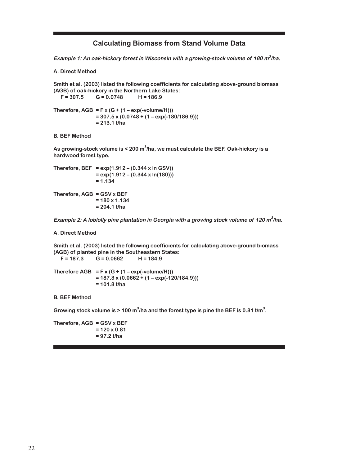#### **Calculating Biomass from Stand Volume Data**

**Example 1: An oak-hickory forest in Wisconsin with a growing-stock volume of 180 m<sup>3</sup> /ha.**

**A. Direct Method**

**Smith et al. (2003) listed the following coefficients for calculating above-ground biomass (AGB) of oak-hickory in the Northern Lake States: F = 307.5 G = 0.0748 H = 186.9** Therefore,  $AGB = F \times (G + (1 - exp(-volume/H))))$  **= 307.5 x (0.0748 + (1 – exp(-180/186.9))) = 213.1 t/ha B. BEF Method**

**As growing-stock volume is < 200 m<sup>3</sup> /ha, we must calculate the BEF. Oak-hickory is a hardwood forest type.**

```
Therefore, BEF = exp(1.912 – (0.344 x ln GSV))
                 = exp(1.912 – (0.344 x ln(180)))
                 = 1.134
Therefore, AGB = GSV x BEF
                 = 180 x 1.134
                 = 204.1 t/ha
```

```
Example 2: A loblolly pine plantation in Georgia with a growing stock volume of 120 m3
/ha.
```
**A. Direct Method**

**Smith et al. (2003) listed the following coefficients for calculating above-ground biomass (AGB) of planted pine in the Southeastern States: F = 187.3 G = 0.0662 H = 184.9**

Therefore  $AGB = F \times (G + (1 - exp(-volume/H)))$  **= 187.3 x (0.0662 + (1 – exp(-120/184.9))) = 101.8 t/ha**

**B. BEF Method**

Growing stock volume is > 100 m<sup>3</sup>/ha and the forest type is pine the BEF is 0.81 t/m<sup>3</sup>.

**Therefore, AGB = GSV x BEF = 120 x 0.81 = 97.2 t/ha**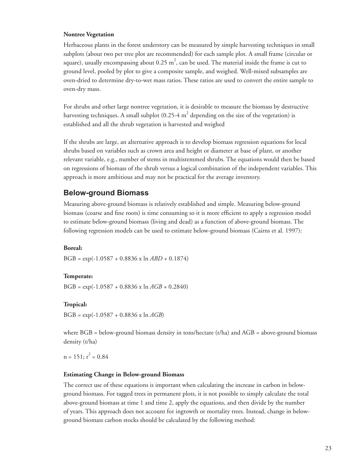#### **Nontree Vegetation**

Herbaceous plants in the forest understory can be measured by simple harvesting techniques in small subplots (about two per tree plot are recommended) for each sample plot. A small frame (circular or square), usually encompassing about 0.25  $\text{m}^2$ , can be used. The material inside the frame is cut to ground level, pooled by plot to give a composite sample, and weighed. Well-mixed subsamples are oven-dried to determine dry-to-wet mass ratios. These ratios are used to convert the entire sample to oven-dry mass.

For shrubs and other large nontree vegetation, it is desirable to measure the biomass by destructive harvesting techniques. A small subplot (0.25-4  $\text{m}^2$  depending on the size of the vegetation) is established and all the shrub vegetation is harvested and weighed

If the shrubs are large, an alternative approach is to develop biomass regression equations for local shrubs based on variables such as crown area and height or diameter at base of plant, or another relevant variable, e.g., number of stems in multistemmed shrubs. The equations would then be based on regressions of biomass of the shrub versus a logical combination of the independent variables. This approach is more ambitious and may not be practical for the average inventory.

#### **Below-ground Biomass**

Measuring above-ground biomass is relatively established and simple. Measuring below-ground biomass (coarse and fine roots) is time consuming so it is more efficient to apply a regression model to estimate below-ground biomass (living and dead) as a function of above-ground biomass. The following regression models can be used to estimate below-ground biomass (Cairns et al. 1997):

#### **Boreal:**

BGB = exp(-1.0587 + 0.8836 x ln *ABD* + 0.1874)

#### **Temperate:**

BGB = exp(-1.0587 + 0.8836 x ln *AGB* + 0.2840)

#### **Tropical:**

BGB = exp(-1.0587 + 0.8836 x ln *AGB*)

where  $BGB =$  below-ground biomass density in tons/hectare (t/ha) and  $AGB =$  above-ground biomass density (t/ha)

 $n = 151$ ;  $r^2 = 0.84$ 

#### **Estimating Change in Below-ground Biomass**

The correct use of these equations is important when calculating the increase in carbon in belowground biomass. For tagged trees in permanent plots, it is not possible to simply calculate the total above-ground biomass at time 1 and time 2, apply the equations, and then divide by the number of years. This approach does not account for ingrowth or mortality trees. Instead, change in belowground biomass carbon stocks should be calculated by the following method: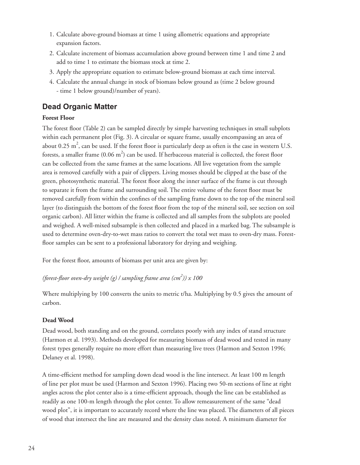- Calculate above-ground biomass at time 1 using allometric equations and appropriate 1. expansion factors.
- Calculate increment of biomass accumulation above ground between time 1 and time 2 and 2. add to time 1 to estimate the biomass stock at time 2.
- Apply the appropriate equation to estimate below-ground biomass at each time interval. 3.
- Calculate the annual change in stock of biomass below ground as (time 2 below ground 4.- time 1 below ground)/number of years).

## **Dead Organic Matter**

## **Forest Floor**

The forest floor (Table 2) can be sampled directly by simple harvesting techniques in small subplots within each permanent plot (Fig. 3). A circular or square frame, usually encompassing an area of about 0.25  $\text{m}^2$ , can be used. If the forest floor is particularly deep as often is the case in western U.S. forests, a smaller frame  $(0.06 \text{ m}^2)$  can be used. If herbaceous material is collected, the forest floor can be collected from the same frames at the same locations. All live vegetation from the sample area is removed carefully with a pair of clippers. Living mosses should be clipped at the base of the green, photosynthetic material. The forest floor along the inner surface of the frame is cut through to separate it from the frame and surrounding soil. The entire volume of the forest floor must be removed carefully from within the confines of the sampling frame down to the top of the mineral soil layer (to distinguish the bottom of the forest floor from the top of the mineral soil, see section on soil organic carbon). All litter within the frame is collected and all samples from the subplots are pooled and weighed. A well-mixed subsample is then collected and placed in a marked bag. The subsample is used to determine oven-dry-to-wet mass ratios to convert the total wet mass to oven-dry mass. Forestfloor samples can be sent to a professional laboratory for drying and weighing.

For the forest floor, amounts of biomass per unit area are given by:

*(forest-fl oor oven-dry weight (g) / sampling frame area (cm<sup>2</sup> )) x 100*

Where multiplying by 100 converts the units to metric t/ha. Multiplying by 0.5 gives the amount of carbon.

## **Dead Wood**

Dead wood, both standing and on the ground, correlates poorly with any index of stand structure (Harmon et al. 1993). Methods developed for measuring biomass of dead wood and tested in many forest types generally require no more effort than measuring live trees (Harmon and Sexton 1996; Delaney et al. 1998).

A time-efficient method for sampling down dead wood is the line intersect. At least 100 m length of line per plot must be used (Harmon and Sexton 1996). Placing two 50-m sections of line at right angles across the plot center also is a time-efficient approach, though the line can be established as readily as one 100-m length through the plot center. To allow remeasurement of the same "dead wood plot", it is important to accurately record where the line was placed. The diameters of all pieces of wood that intersect the line are measured and the density class noted. A minimum diameter for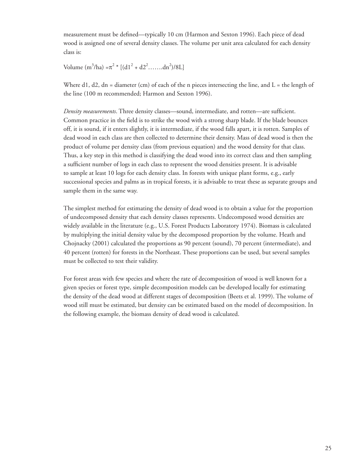measurement must be defined—typically 10 cm (Harmon and Sexton 1996). Each piece of dead wood is assigned one of several density classes. The volume per unit area calculated for each density class is:

Volume  $(m^3/ha) = \pi^2 * [(d1^2 + d2^2........dn^2)/8L]$ 

Where d1, d2, dn = diameter (cm) of each of the n pieces intersecting the line, and  $L =$  the length of the line (100 m recommended; Harmon and Sexton 1996).

*Density measurements*. Three density classes—sound, intermediate, and rotten—are sufficient. Common practice in the field is to strike the wood with a strong sharp blade. If the blade bounces off, it is sound, if it enters slightly, it is intermediate, if the wood falls apart, it is rotten. Samples of dead wood in each class are then collected to determine their density. Mass of dead wood is then the product of volume per density class (from previous equation) and the wood density for that class. Thus, a key step in this method is classifying the dead wood into its correct class and then sampling a sufficient number of logs in each class to represent the wood densities present. It is advisable to sample at least 10 logs for each density class. In forests with unique plant forms, e.g., early successional species and palms as in tropical forests, it is advisable to treat these as separate groups and sample them in the same way.

The simplest method for estimating the density of dead wood is to obtain a value for the proportion of undecomposed density that each density classes represents. Undecomposed wood densities are widely available in the literature (e.g., U.S. Forest Products Laboratory 1974). Biomass is calculated by multiplying the initial density value by the decomposed proportion by the volume. Heath and Chojnacky (2001) calculated the proportions as 90 percent (sound), 70 percent (intermediate), and 40 percent (rotten) for forests in the Northeast. These proportions can be used, but several samples must be collected to test their validity.

For forest areas with few species and where the rate of decomposition of wood is well known for a given species or forest type, simple decomposition models can be developed locally for estimating the density of the dead wood at different stages of decomposition (Beets et al. 1999). The volume of wood still must be estimated, but density can be estimated based on the model of decomposition. In the following example, the biomass density of dead wood is calculated.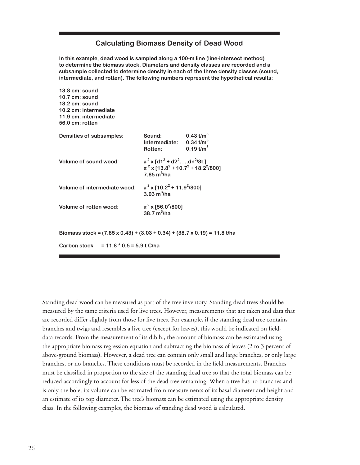#### **Calculating Biomass Density of Dead Wood**

**In this example, dead wood is sampled along a 100-m line (line-intersect method) to determine the biomass stock. Diameters and density classes are recorded and a subsample collected to determine density in each of the three density classes (sound, intermediate, and rotten). The following numbers represent the hypothetical results:**

| 13.8 cm: sound<br>$10.7$ cm: sound<br>18.2 cm: sound<br>10.2 cm: intermediate<br>11.9 cm: intermediate<br>56.0 cm: rotten |                                                                                                                                                                           |                                                                       |
|---------------------------------------------------------------------------------------------------------------------------|---------------------------------------------------------------------------------------------------------------------------------------------------------------------------|-----------------------------------------------------------------------|
| Densities of subsamples:                                                                                                  | Sound:<br>Intermediate:<br>Rotten:                                                                                                                                        | 0.43 t/m <sup>3</sup><br>$0.34 \text{ t/m}^3$<br>$0.19 \text{ t/m}^3$ |
| Volume of sound wood:                                                                                                     | $\pi^2$ x [d1 <sup>2</sup> + d2 <sup>2</sup> dn <sup>2</sup> /8L]<br>$\pi^2$ x [13.8 <sup>2</sup> + 10.7 <sup>2</sup> + 18.2 <sup>2</sup> /800]<br>$7.85 \text{ m}^3$ /ha |                                                                       |
| Volume of intermediate wood:                                                                                              | $\pi^2$ x [10.2 <sup>2</sup> + 11.9 <sup>2</sup> /800]<br>$3.03 \text{ m}^3/\text{ha}$                                                                                    |                                                                       |
| Volume of rotten wood:                                                                                                    | $\pi^2$ x [56.0 <sup>2</sup> /800]<br>$38.7 \text{ m}^3$ /ha                                                                                                              |                                                                       |
| Biomass stock = $(7.85 \times 0.43) + (3.03 + 0.34) + (38.7 \times 0.19) = 11.8$ t/ha                                     |                                                                                                                                                                           |                                                                       |
| <b>Carbon stock</b><br>$= 11.8 * 0.5 = 5.9$ t C/ha                                                                        |                                                                                                                                                                           |                                                                       |

Standing dead wood can be measured as part of the tree inventory. Standing dead trees should be measured by the same criteria used for live trees. However, measurements that are taken and data that are recorded differ slightly from those for live trees. For example, if the standing dead tree contains branches and twigs and resembles a live tree (except for leaves), this would be indicated on fielddata records. From the measurement of its d.b.h., the amount of biomass can be estimated using the appropriate biomass regression equation and subtracting the biomass of leaves (2 to 3 percent of above-ground biomass). However, a dead tree can contain only small and large branches, or only large branches, or no branches. These conditions must be recorded in the field measurements. Branches must be classified in proportion to the size of the standing dead tree so that the total biomass can be reduced accordingly to account for less of the dead tree remaining. When a tree has no branches and is only the bole, its volume can be estimated from measurements of its basal diameter and height and an estimate of its top diameter. The tree's biomass can be estimated using the appropriate density class. In the following examples, the biomass of standing dead wood is calculated.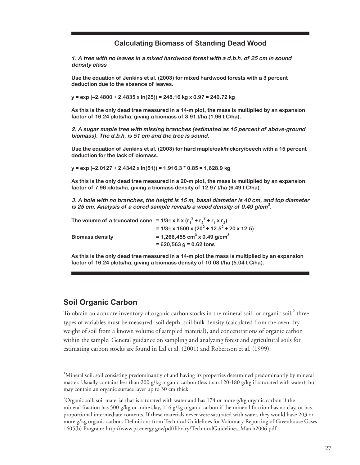#### **Calculating Biomass of Standing Dead Wood**

**1. A tree with no leaves in a mixed hardwood forest with a d.b.h. of 25 cm in sound density class**

**Use the equation of Jenkins et al. (2003) for mixed hardwood forests with a 3 percent deduction due to the absence of leaves.**

**y = exp (–2.4800 + 2.4835 x ln(25)) = 248.16 kg x 0.97 = 240.72 kg**

**As this is the only dead tree measured in a 14-m plot, the mass is multiplied by an expansion factor of 16.24 plots/ha, giving a biomass of 3.91 t/ha (1.96 t C/ha).**

**2. A sugar maple tree with missing branches (estimated as 15 percent of above-ground biomass). The d.b.h. is 51 cm and the tree is sound.**

**Use the equation of Jenkins et al. (2003) for hard maple/oak/hickory/beech with a 15 percent deduction for the lack of biomass.**

**y = exp (–2.0127 + 2.4342 x ln(51)) = 1,916.3 \* 0.85 = 1,628.9 kg**

**As this is the only dead tree measured in a 20-m plot, the mass is multiplied by an expansion factor of 7.96 plots/ha, giving a biomass density of 12.97 t/ha (6.49 t C/ha).**

**3. A bole with no branches, the height is 15 m, basal diameter is 40 cm, and top diameter is 25 cm. Analysis of a cored sample reveals a wood density of 0.49 g/cm<sup>3</sup> .**

| The volume of a truncated cone = $1/3\pi$ x h x ( $r_1^2$ + $r_2^2$ + $r_1$ x $r_2$ ) |                                                                       |
|---------------------------------------------------------------------------------------|-----------------------------------------------------------------------|
|                                                                                       | $= 1/3\pi$ x 1500 x (20 <sup>2</sup> + 12.5 <sup>2</sup> + 20 x 12.5) |
| <b>Biomass density</b>                                                                | = 1,266,455 cm <sup>3</sup> x 0.49 g/cm <sup>3</sup>                  |
|                                                                                       | $= 620,563$ g = 0.62 tons                                             |

**As this is the only dead tree measured in a 14-m plot the mass is multiplied by an expansion factor of 16.24 plots/ha, giving a biomass density of 10.08 t/ha (5.04 t C/ha).**

#### **Soil Organic Carbon**

To obtain an accurate inventory of organic carbon stocks in the mineral soil $^{\rm l}$  or organic soil, $^{\rm 2}$  three types of variables must be measured: soil depth, soil bulk density (calculated from the oven-dry weight of soil from a known volume of sampled material), and concentrations of organic carbon within the sample. General guidance on sampling and analyzing forest and agricultural soils for estimating carbon stocks are found in Lal et al. (2001) and Robertson et al. (1999).

<sup>&</sup>lt;sup>1</sup>Mineral soil: soil consisting predominantly of and having its properties determined predominantly by mineral matter. Usually contains less than 200 g/kg organic carbon (less than 120-180 g/kg if saturated with water), but may contain an organic surface layer up to 30 cm thick.

 $^2$ Organic soil: soil material that is saturated with water and has 174 or more g/kg organic carbon if the mineral fraction has 500 g/kg or more clay, 116 g/kg organic carbon if the mineral fraction has no clay, or has proportional intermediate contents. If these materials never were saturated with water, they would have 203 or more g/kg organic carbon. Definitions from Technical Guidelines for Voluntary Reporting of Greenhouse Gases 1605(b) Program: http://www.pi.energy.gov/pdf/library/TechnicalGuidelines\_March2006.pdf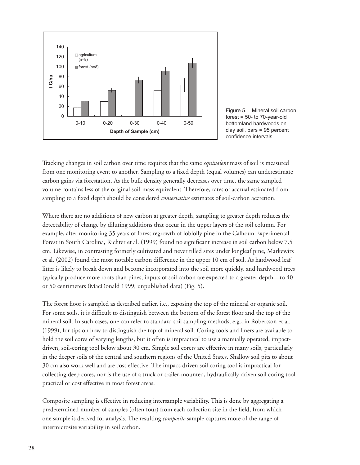



Tracking changes in soil carbon over time requires that the same *equivalent* mass of soil is measured from one monitoring event to another. Sampling to a fixed depth (equal volumes) can underestimate carbon gains via forestation. As the bulk density generally decreases over time, the same sampled volume contains less of the original soil-mass equivalent. Therefore, rates of accrual estimated from sampling to a fixed depth should be considered *conservative* estimates of soil-carbon accretion.

Where there are no additions of new carbon at greater depth, sampling to greater depth reduces the detectability of change by diluting additions that occur in the upper layers of the soil column. For example, after monitoring 35 years of forest regrowth of loblolly pine in the Calhoun Experimental Forest in South Carolina, Richter et al. (1999) found no significant increase in soil carbon below 7.5 cm. Likewise, in contrasting formerly cultivated and never tilled sites under longleaf pine, Markewitz et al. (2002) found the most notable carbon difference in the upper 10 cm of soil. As hardwood leaf litter is likely to break down and become incorporated into the soil more quickly, and hardwood trees typically produce more roots than pines, inputs of soil carbon are expected to a greater depth—to 40 or 50 centimeters (MacDonald 1999; unpublished data) (Fig. 5).

The forest floor is sampled as described earlier, i.e., exposing the top of the mineral or organic soil. For some soils, it is difficult to distinguish between the bottom of the forest floor and the top of the mineral soil. In such cases, one can refer to standard soil sampling methods, e.g., in Robertson et al. (1999), for tips on how to distinguish the top of mineral soil. Coring tools and liners are available to hold the soil cores of varying lengths, but it often is impractical to use a manually operated, impactdriven, soil-coring tool below about 30 cm. Simple soil corers are effective in many soils, particularly in the deeper soils of the central and southern regions of the United States. Shallow soil pits to about 30 cm also work well and are cost effective. The impact-driven soil coring tool is impractical for collecting deep cores, nor is the use of a truck or trailer-mounted, hydraulically driven soil coring tool practical or cost effective in most forest areas.

Composite sampling is effective in reducing intersample variability. This is done by aggregating a predetermined number of samples (often four) from each collection site in the field, from which one sample is derived for analysis. The resulting *composite* sample captures more of the range of intermicrosite variability in soil carbon.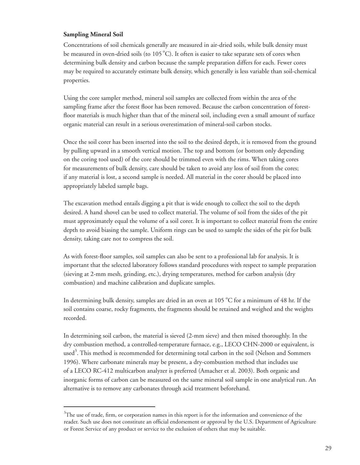#### **Sampling Mineral Soil**

Concentrations of soil chemicals generally are measured in air-dried soils, while bulk density must be measured in oven-dried soils (to  $105^{\circ}$ C). It often is easier to take separate sets of cores when determining bulk density and carbon because the sample preparation differs for each. Fewer cores may be required to accurately estimate bulk density, which generally is less variable than soil-chemical properties.

Using the core sampler method, mineral soil samples are collected from within the area of the sampling frame after the forest floor has been removed. Because the carbon concentration of forestfloor materials is much higher than that of the mineral soil, including even a small amount of surface organic material can result in a serious overestimation of mineral-soil carbon stocks.

Once the soil corer has been inserted into the soil to the desired depth, it is removed from the ground by pulling upward in a smooth vertical motion. The top and bottom (or bottom only depending on the coring tool used) of the core should be trimmed even with the rims. When taking cores for measurements of bulk density, care should be taken to avoid any loss of soil from the cores; if any material is lost, a second sample is needed. All material in the corer should be placed into appropriately labeled sample bags.

The excavation method entails digging a pit that is wide enough to collect the soil to the depth desired. A hand shovel can be used to collect material. The volume of soil from the sides of the pit must approximately equal the volume of a soil corer. It is important to collect material from the entire depth to avoid biasing the sample. Uniform rings can be used to sample the sides of the pit for bulk density, taking care not to compress the soil.

As with forest-floor samples, soil samples can also be sent to a professional lab for analysis. It is important that the selected laboratory follows standard procedures with respect to sample preparation (sieving at 2-mm mesh, grinding, etc.), drying temperatures, method for carbon analysis (dry combustion) and machine calibration and duplicate samples.

In determining bulk density, samples are dried in an oven at  $105\,^{\circ}\mathrm{C}$  for a minimum of 48 hr. If the soil contains coarse, rocky fragments, the fragments should be retained and weighed and the weights recorded.

In determining soil carbon, the material is sieved (2-mm sieve) and then mixed thoroughly. In the dry combustion method, a controlled-temperature furnace, e.g., LECO CHN-2000 or equivalent, is used<sup>3</sup>. This method is recommended for determining total carbon in the soil (Nelson and Sommers 1996). Where carbonate minerals may be present, a dry-combustion method that includes use of a LECO RC-412 multicarbon analyzer is preferred (Amacher et al. 2003). Both organic and inorganic forms of carbon can be measured on the same mineral soil sample in one analytical run. An alternative is to remove any carbonates through acid treatment beforehand.

 $3$ The use of trade, firm, or corporation names in this report is for the information and convenience of the reader. Such use does not constitute an official endorsement or approval by the U.S. Department of Agriculture or Forest Service of any product or service to the exclusion of others that may be suitable.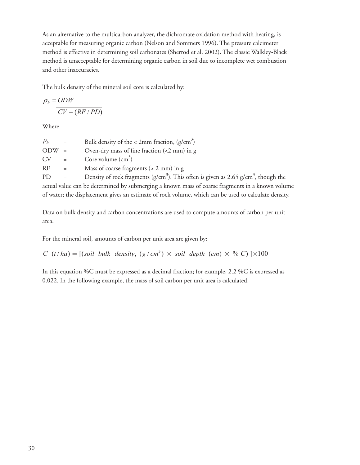As an alternative to the multicarbon analyzer, the dichromate oxidation method with heating, is acceptable for measuring organic carbon (Nelson and Sommers 1996). The pressure calcimeter method is effective in determining soil carbonates (Sherrod et al. 2002). The classic Walkley-Black method is unacceptable for determining organic carbon in soil due to incomplete wet combustion and other inaccuracies.

The bulk density of the mineral soil core is calculated by:

$$
\rho_b = ODW
$$
  
 
$$
\frac{CV - (RF/PD)}{}
$$

Where

| $\rho_{h}$ | $=$      | Bulk density of the < 2mm fraction, $(g/cm^3)$                                                  |
|------------|----------|-------------------------------------------------------------------------------------------------|
| $ODW =$    |          | Oven-dry mass of fine fraction $\left($ <2 mm) in g                                             |
| CV         | $=$      | Core volume $\text{cm}^3$ )                                                                     |
| RF         | $=$ $-$  | Mass of coarse fragments $(> 2$ mm) in g                                                        |
| PD.        | $\equiv$ | Density of rock fragments ( $g/cm3$ ). This often is given as 2.65 $g/cm3$ , though the         |
|            |          | actual value can be determined by submerging a known mass of coarse fragments in a known volume |

of water; the displacement gives an estimate of rock volume, which can be used to calculate density.

Data on bulk density and carbon concentrations are used to compute amounts of carbon per unit area.

For the mineral soil, amounts of carbon per unit area are given by:

 $C(t/ha) = [(soil \text{ bulk density}, (g/cm^3) \times soil \text{ depth} (cm) \times \% C) ] \times 100$ 

In this equation %C must be expressed as a decimal fraction; for example, 2.2 %C is expressed as 0.022. In the following example, the mass of soil carbon per unit area is calculated.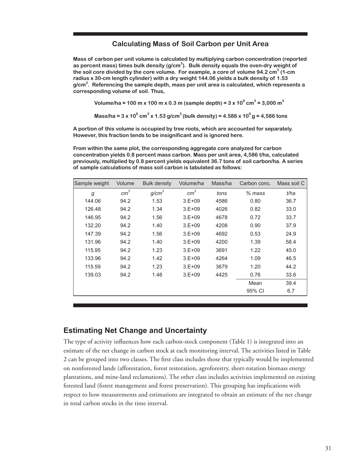#### **Calculating Mass of Soil Carbon per Unit Area**

**Mass of carbon per unit volume is calculated by multiplying carbon concentration (reported as percent mass) times bulk density (g/cm<sup>3</sup> ). Bulk density equals the oven-dry weight of the soil core divided by the core volume. For example, a core of volume 94.2 cm<sup>3</sup> (1-cm radius x 30-cm length cylinder) with a dry weight 144.06 yields a bulk density of 1.53 g/cm3 . Referencing the sample depth, mass per unit area is calculated, which represents a corresponding volume of soil. Thus,** 

 **Volume/ha = 100 m x 100 m x 0.3 m (sample depth) = 3 x 10<sup>9</sup> cm<sup>3</sup> = 3,000 m<sup>3</sup>** 

 **M**ass/ha = 3 x 10 $^9$  cm $^3$  x 1.53 g/cm $^3$  (bulk density) = 4.586 x 10 $^9$  g = 4,586 tons

**A portion of this volume is occupied by tree roots, which are accounted for separately. However, this fraction tends to be insignificant and is ignored here.**

**From within the same plot, the corresponding aggregate core analyzed for carbon concentration yields 0.8 percent mass carbon. Mass per unit area, 4,586 t/ha, calculated previously, multiplied by 0.8 percent yields equivalent 36.7 tons of soil carbon/ha. A series of sample calculations of mass soil carbon is tabulated as follows:**

| Sample weight | Volume          | <b>Bulk density</b> | Volume/ha       | Mass/ha | Carbon conc. | Mass soil C |
|---------------|-----------------|---------------------|-----------------|---------|--------------|-------------|
| g             | cm <sup>3</sup> | g/cm <sup>3</sup>   | cm <sup>3</sup> | tons    | $%$ mass     | t/ha        |
| 144.06        | 94.2            | 1.53                | $3.E+09$        | 4586    | 0.80         | 36.7        |
| 126.48        | 94.2            | 1.34                | $3.E+09$        | 4026    | 0.82         | 33.0        |
| 146.95        | 94.2            | 1.56                | $3.E+09$        | 4678    | 0.72         | 33.7        |
| 132.20        | 94.2            | 1.40                | $3.E+09$        | 4208    | 0.90         | 37.9        |
| 147.39        | 94.2            | 1.56                | $3.E+09$        | 4692    | 0.53         | 24.9        |
| 131.96        | 94.2            | 1.40                | $3.E+09$        | 4200    | 1.39         | 58.4        |
| 115.95        | 94.2            | 1.23                | $3.E+09$        | 3691    | 1.22         | 45.0        |
| 133.96        | 94.2            | 1.42                | $3.E+09$        | 4264    | 1.09         | 46.5        |
| 115.59        | 94.2            | 1.23                | $3.E+09$        | 3679    | 1.20         | 44.2        |
| 139.03        | 94.2            | 1.48                | $3.E+09$        | 4425    | 0.76         | 33.6        |
|               |                 |                     |                 |         | Mean         | 39.4        |
|               |                 |                     |                 |         | 95% CI       | 6.7         |

#### **Estimating Net Change and Uncertainty**

The type of activity influences how each carbon-stock component (Table 1) is integrated into an estimate of the net change in carbon stock at each monitoring interval. The activities listed in Table 2 can be grouped into two classes. The first class includes those that typically would be implemented on nonforested lands (afforestation, forest restoration, agroforestry, short-rotation biomass energy plantations, and mine-land reclamations). The other class includes activities implemented on existing forested land (forest management and forest preservation). This grouping has implications with respect to how measurements and estimations are integrated to obtain an estimate of the net change in total carbon stocks in the time interval.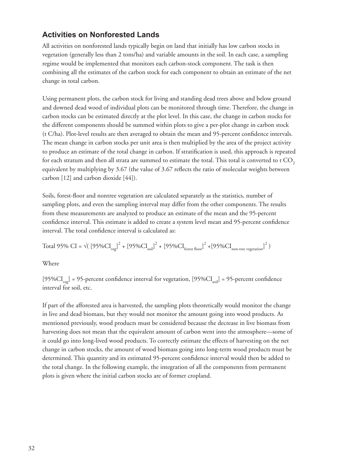## **Activities on Nonforested Lands**

All activities on nonforested lands typically begin on land that initially has low carbon stocks in vegetation (generally less than 2 tons/ha) and variable amounts in the soil. In each case, a sampling regime would be implemented that monitors each carbon-stock component. The task is then combining all the estimates of the carbon stock for each component to obtain an estimate of the net change in total carbon.

Using permanent plots, the carbon stock for living and standing dead trees above and below ground and downed dead wood of individual plots can be monitored through time. Therefore, the change in carbon stocks can be estimated directly at the plot level. In this case, the change in carbon stocks for the different components should be summed within plots to give a per-plot change in carbon stock (t C/ha). Plot-level results are then averaged to obtain the mean and 95-percent confidence intervals. The mean change in carbon stocks per unit area is then multiplied by the area of the project activity to produce an estimate of the total change in carbon. If stratification is used, this approach is repeated for each stratum and then all strata are summed to estimate the total. This total is converted to t  $\mathrm{CO}_2$ equivalent by multiplying by 3.67 (the value of 3.67 reflects the ratio of molecular weights between carbon [12] and carbon dioxide [44]).

Soils, forest-floor and nontree vegetation are calculated separately as the statistics, number of sampling plots, and even the sampling interval may differ from the other components. The results from these measurements are analyzed to produce an estimate of the mean and the 95-percent confidence interval. This estimate is added to create a system level mean and 95-percent confidence interval. The total confidence interval is calculated as:

Total 95% CI =  $\sqrt{(95\%CI_{veg}^2)^2 + [95\%CI_{soil}]^2 + [95\%CI_{forest\,floor}^2]^2 + [95\%CI_{non-tree\,vegetation}]^2})$ 

Where

 $[95\%CI_{\text{vec}}] = 95$ -percent confidence interval for vegetation,  $[95\%CI_{\text{vec}}] = 95$ -percent confidence interval for soil, etc.

If part of the afforested area is harvested, the sampling plots theoretically would monitor the change in live and dead biomass, but they would not monitor the amount going into wood products. As mentioned previously, wood products must be considered because the decrease in live biomass from harvesting does not mean that the equivalent amount of carbon went into the atmosphere—some of it could go into long-lived wood products. To correctly estimate the effects of harvesting on the net change in carbon stocks, the amount of wood biomass going into long-term wood products must be determined. This quantity and its estimated 95-percent confidence interval would then be added to the total change. In the following example, the integration of all the components from permanent plots is given where the initial carbon stocks are of former cropland.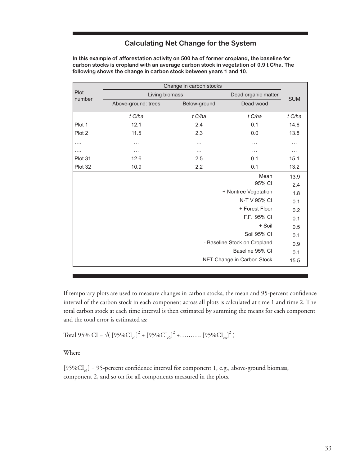## **Calculating Net Change for the System**

|                | Change in carbon stocks |                     |                              |          |
|----------------|-------------------------|---------------------|------------------------------|----------|
| Plot<br>number | Living biomass          | Dead organic matter | <b>SUM</b>                   |          |
|                | Above-ground: trees     | Below-ground        | Dead wood                    |          |
|                | t C/ha                  | t C/ha              | t C/ha                       | t C/ha   |
| Plot 1         | 12.1                    | 2.4                 | 0.1                          | 14.6     |
| Plot 2         | 11.5                    | 2.3                 | 0.0                          | 13.8     |
| .              | $\cdots$                | $\cdots$            | $\cdots$                     | .        |
| .              | .                       | $\cdots$            | $\cdots$                     | $\cdots$ |
| Plot 31        | 12.6                    | 2.5                 | 0.1                          | 15.1     |
| Plot 32        | 10.9                    | 2.2                 | 0.1                          | 13.2     |
|                |                         |                     | Mean                         | 13.9     |
|                |                         |                     | 95% CI                       | 2.4      |
|                |                         |                     | + Nontree Vegetation         | 1.8      |
| N-T V 95% CI   |                         | 0.1                 |                              |          |
|                |                         |                     | + Forest Floor               | 0.2      |
|                |                         |                     | F.F. 95% CI                  | 0.1      |
|                |                         |                     | + Soil                       | 0.5      |
|                |                         |                     | Soil 95% CI                  | 0.1      |
|                |                         |                     | - Baseline Stock on Cropland | 0.9      |
|                |                         |                     | Baseline 95% CI              | 0.1      |
|                |                         |                     | NET Change in Carbon Stock   | 15.5     |

**In this example of afforestation activity on 500 ha of former cropland, the baseline for carbon stocks is cropland with an average carbon stock in vegetation of 0.9 t C/ha. The following shows the change in carbon stock between years 1 and 10.**

If temporary plots are used to measure changes in carbon stocks, the mean and 95-percent confidence interval of the carbon stock in each component across all plots is calculated at time 1 and time 2. The total carbon stock at each time interval is then estimated by summing the means for each component and the total error is estimated as:

Total 95% CI = 
$$
\sqrt{(95\%CI_{c1})^2 + [95\%CI_{c2}]^2 + \dots \dots \dots [95\%CI_{cn}]^2}
$$

Where

 $[95\%CI_{c1}] = 95$ -percent confidence interval for component 1, e.g., above-ground biomass, component 2, and so on for all components measured in the plots.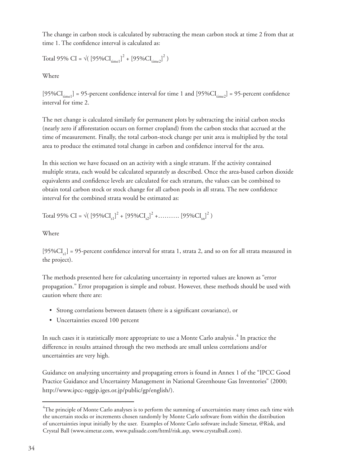The change in carbon stock is calculated by subtracting the mean carbon stock at time 2 from that at time 1. The confidence interval is calculated as:

Total 95% CI =  $\sqrt{(95\%CI_{time1}^2)^2 + (95\%CI_{time2}^2)^2})$ 

Where

 $[95\%CI_{time1}] = 95$ -percent confidence interval for time 1 and  $[95\%CI_{time2}] = 95$ -percent confidence interval for time 2.

The net change is calculated similarly for permanent plots by subtracting the initial carbon stocks (nearly zero if afforestation occurs on former cropland) from the carbon stocks that accrued at the time of measurement. Finally, the total carbon-stock change per unit area is multiplied by the total area to produce the estimated total change in carbon and confidence interval for the area.

In this section we have focused on an activity with a single stratum. If the activity contained multiple strata, each would be calculated separately as described. Once the area-based carbon dioxide equivalents and confidence levels are calculated for each stratum, the values can be combined to obtain total carbon stock or stock change for all carbon pools in all strata. The new confidence interval for the combined strata would be estimated as:

Total 95% CI = 
$$
\sqrt{(95\%CI_{s1})^2 + [95\%CI_{s2}]^2 + \dots \dots \dots [95\%CI_{sn}]^2}
$$
)

Where

 $[95\%CI_{s1}] = 95$ -percent confidence interval for strata 1, strata 2, and so on for all strata measured in the project).

The methods presented here for calculating uncertainty in reported values are known as "error propagation." Error propagation is simple and robust. However, these methods should be used with caution where there are:

- Strong correlations between datasets (there is a significant covariance), or
- Uncertainties exceed 100 percent •

In such cases it is statistically more appropriate to use a Monte Carlo analysis . 4 In practice the difference in results attained through the two methods are small unless correlations and/or uncertainties are very high.

Guidance on analyzing uncertainty and propagating errors is found in Annex 1 of the "IPCC Good Practice Guidance and Uncertainty Management in National Greenhouse Gas Inventories" (2000; http://www.ipcc-nggip.iges.or.jp/public/gp/english/).

 $\rm ^4$ The principle of Monte Carlo analyses is to perform the summing of uncertainties many times each time with the uncertain stocks or increments chosen randomly by Monte Carlo software from within the distribution of uncertainties input initially by the user. Examples of Monte Carlo software include Simetar, @Risk, and Crystal Ball (www.simetar.com, www.palisade.com/html/risk.asp, www.crystalball.com).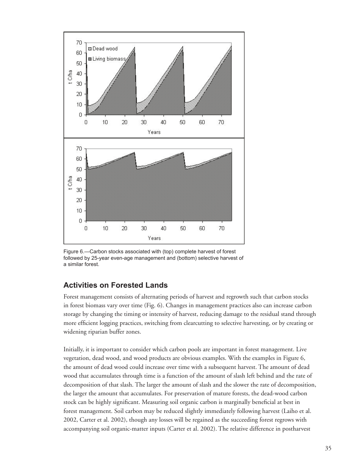

Figure 6.—Carbon stocks associated with (top) complete harvest of forest followed by 25-year even-age management and (bottom) selective harvest of a similar forest.

## **Activities on Forested Lands**

Forest management consists of alternating periods of harvest and regrowth such that carbon stocks in forest biomass vary over time (Fig. 6). Changes in management practices also can increase carbon storage by changing the timing or intensity of harvest, reducing damage to the residual stand through more efficient logging practices, switching from clearcutting to selective harvesting, or by creating or widening riparian buffer zones.

Initially, it is important to consider which carbon pools are important in forest management. Live vegetation, dead wood, and wood products are obvious examples. With the examples in Figure 6, the amount of dead wood could increase over time with a subsequent harvest. The amount of dead wood that accumulates through time is a function of the amount of slash left behind and the rate of decomposition of that slash. The larger the amount of slash and the slower the rate of decomposition, the larger the amount that accumulates. For preservation of mature forests, the dead-wood carbon stock can be highly significant. Measuring soil organic carbon is marginally beneficial at best in forest management. Soil carbon may be reduced slightly immediately following harvest (Laiho et al. 2002, Carter et al. 2002), though any losses will be regained as the succeeding forest regrows with accompanying soil organic-matter inputs (Carter et al. 2002). The relative difference in postharvest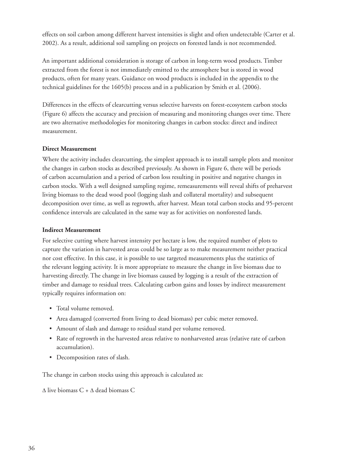effects on soil carbon among different harvest intensities is slight and often undetectable (Carter et al. 2002). As a result, additional soil sampling on projects on forested lands is not recommended.

An important additional consideration is storage of carbon in long-term wood products. Timber extracted from the forest is not immediately emitted to the atmosphere but is stored in wood products, often for many years. Guidance on wood products is included in the appendix to the technical guidelines for the 1605(b) process and in a publication by Smith et al. (2006).

Differences in the effects of clearcutting versus selective harvests on forest-ecosystem carbon stocks (Figure 6) affects the accuracy and precision of measuring and monitoring changes over time. There are two alternative methodologies for monitoring changes in carbon stocks: direct and indirect measurement.

#### **Direct Measurement**

Where the activity includes clearcutting, the simplest approach is to install sample plots and monitor the changes in carbon stocks as described previously. As shown in Figure 6, there will be periods of carbon accumulation and a period of carbon loss resulting in positive and negative changes in carbon stocks. With a well designed sampling regime, remeasurements will reveal shifts of preharvest living biomass to the dead wood pool (logging slash and collateral mortality) and subsequent decomposition over time, as well as regrowth, after harvest. Mean total carbon stocks and 95-percent confidence intervals are calculated in the same way as for activities on nonforested lands.

#### **Indirect Measurement**

For selective cutting where harvest intensity per hectare is low, the required number of plots to capture the variation in harvested areas could be so large as to make measurement neither practical nor cost effective. In this case, it is possible to use targeted measurements plus the statistics of the relevant logging activity. It is more appropriate to measure the change in live biomass due to harvesting directly. The change in live biomass caused by logging is a result of the extraction of timber and damage to residual trees. Calculating carbon gains and losses by indirect measurement typically requires information on:

- Total volume removed. •
- Area damaged (converted from living to dead biomass) per cubic meter removed. •
- Amount of slash and damage to residual stand per volume removed. •
- Rate of regrowth in the harvested areas relative to nonharvested areas (relative rate of carbon accumulation).
- Decomposition rates of slash. •

The change in carbon stocks using this approach is calculated as:

 $\Delta$  live biomass C +  $\Delta$  dead biomass C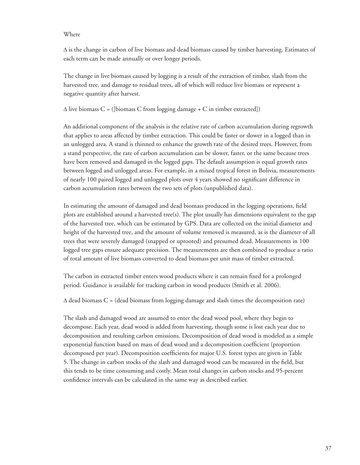#### Where

Δ is the change in carbon of live biomass and dead biomass caused by timber harvesting. Estimates of each term can be made annually or over longer periods.

The change in live biomass caused by logging is a result of the extraction of timber, slash from the harvested tree, and damage to residual trees, all of which will reduce live biomass or represent a negative quantity after harvest.

 $\Delta$  live biomass C = ([biomass C from logging damage + C in timber extracted])

An additional component of the analysis is the relative rate of carbon accumulation during regrowth that applies to areas affected by timber extraction. This could be faster or slower in a logged than in an unlogged area. A stand is thinned to enhance the growth rate of the desired trees. However, from a stand perspective, the rate of carbon accumulation can be slower, faster, or the same because trees have been removed and damaged in the logged gaps. The default assumption is equal growth rates between logged and unlogged areas. For example, in a mixed tropical forest in Bolivia, measurements of nearly 100 paired logged and unlogged plots over 4 years showed no significant difference in carbon accumulation rates between the two sets of plots (unpublished data).

In estimating the amount of damaged and dead biomass produced in the logging operations, field plots are established around a harvested tree(s). The plot usually has dimensions equivalent to the gap of the harvested tree, which can be estimated by GPS. Data are collected on the initial diameter and height of the harvested tree, and the amount of volume removed is measured, as is the diameter of all trees that were severely damaged (snapped or uprooted) and presumed dead. Measurements in 100 logged tree gaps ensure adequate precision. The measurements are then combined to produce a ratio of total amount of live biomass converted to dead biomass per unit mass of timber extracted.

The carbon in extracted timber enters wood products where it can remain fixed for a prolonged period. Guidance is available for tracking carbon in wood products (Smith et al. 2006).

 $\Delta$  dead biomass C = (dead biomass from logging damage and slash times the decomposition rate)

The slash and damaged wood are assumed to enter the dead wood pool, where they begin to decompose. Each year, dead wood is added from harvesting, though some is lost each year due to decomposition and resulting carbon emissions. Decomposition of dead wood is modeled as a simple exponential function based on mass of dead wood and a decomposition coefficient (proportion decomposed per year). Decomposition coefficients for major U.S. forest types are given in Table 5. The change in carbon stocks of the slash and damaged wood can be measured in the field, but this tends to be time consuming and costly. Mean total changes in carbon stocks and 95-percent confidence intervals can be calculated in the same way as described earlier.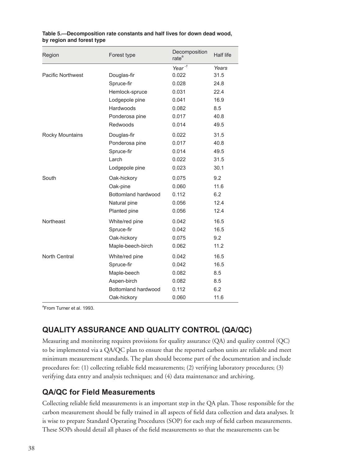| Region                   | Forest type         | Decomposition<br>rate <sup>a</sup> | Half life |
|--------------------------|---------------------|------------------------------------|-----------|
|                          |                     | Year $^{-1}$                       | Years     |
| <b>Pacific Northwest</b> | Douglas-fir         | 0.022                              | 31.5      |
|                          | Spruce-fir          | 0.028                              | 24.8      |
|                          | Hemlock-spruce      | 0.031                              | 22.4      |
|                          | Lodgepole pine      | 0.041                              | 16.9      |
|                          | Hardwoods           | 0.082                              | 8.5       |
|                          | Ponderosa pine      | 0.017                              | 40.8      |
|                          | Redwoods            | 0.014                              | 49.5      |
| <b>Rocky Mountains</b>   | Douglas-fir         | 0.022                              | 31.5      |
|                          | Ponderosa pine      | 0.017                              | 40.8      |
|                          | Spruce-fir          | 0.014                              | 49.5      |
|                          | Larch               | 0.022                              | 31.5      |
|                          | Lodgepole pine      | 0.023                              | 30.1      |
| South                    | Oak-hickory         | 0.075                              | 9.2       |
|                          | Oak-pine            | 0.060                              | 11.6      |
|                          | Bottomland hardwood | 0.112                              | 6.2       |
|                          | Natural pine        | 0.056                              | 12.4      |
|                          | Planted pine        | 0.056                              | 12.4      |
| Northeast                | White/red pine      | 0.042                              | 16.5      |
|                          | Spruce-fir          | 0.042                              | 16.5      |
|                          | Oak-hickory         | 0.075                              | 9.2       |
|                          | Maple-beech-birch   | 0.062                              | 11.2      |
| North Central            | White/red pine      | 0.042                              | 16.5      |
|                          | Spruce-fir          | 0.042                              | 16.5      |
|                          | Maple-beech         | 0.082                              | 8.5       |
|                          | Aspen-birch         | 0.082                              | 8.5       |
|                          | Bottomland hardwood | 0.112                              | 6.2       |
|                          | Oak-hickory         | 0.060                              | 11.6      |

**Table 5.—Decomposition rate constants and half lives for down dead wood, by region and forest type**

<sup>a</sup>From Turner et al. 1993.

## **QUALITY ASSURANCE AND QUALITY CONTROL (QA/QC)**

Measuring and monitoring requires provisions for quality assurance (QA) and quality control (QC) to be implemented via a QA/QC plan to ensure that the reported carbon units are reliable and meet minimum measurement standards. The plan should become part of the documentation and include procedures for: (1) collecting reliable field measurements; (2) verifying laboratory procedures; (3) verifying data entry and analysis techniques; and (4) data maintenance and archiving.

## **QA/QC for Field Measurements**

Collecting reliable field measurements is an important step in the QA plan. Those responsible for the carbon measurement should be fully trained in all aspects of field data collection and data analyses. It is wise to prepare Standard Operating Procedures (SOP) for each step of field carbon measurements. These SOPs should detail all phases of the field measurements so that the measurements can be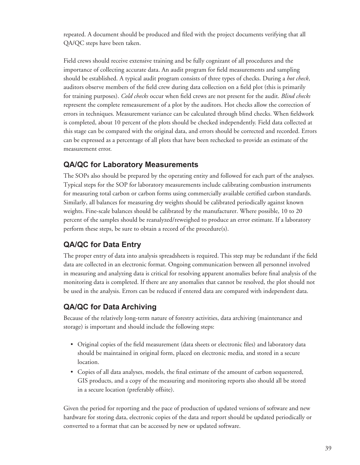repeated. A document should be produced and filed with the project documents verifying that all QA/QC steps have been taken.

Field crews should receive extensive training and be fully cognizant of all procedures and the importance of collecting accurate data. An audit program for field measurements and sampling should be established. A typical audit program consists of three types of checks. During a *hot check*, auditors observe members of the field crew during data collection on a field plot (this is primarily for training purposes). *Cold checks* occur when field crews are not present for the audit. *Blind checks* represent the complete remeasurement of a plot by the auditors. Hot checks allow the correction of errors in techniques. Measurement variance can be calculated through blind checks. When fieldwork is completed, about 10 percent of the plots should be checked independently. Field data collected at this stage can be compared with the original data, and errors should be corrected and recorded. Errors can be expressed as a percentage of all plots that have been rechecked to provide an estimate of the measurement error.

## **QA/QC for Laboratory Measurements**

The SOPs also should be prepared by the operating entity and followed for each part of the analyses. Typical steps for the SOP for laboratory measurements include calibrating combustion instruments for measuring total carbon or carbon forms using commercially available certified carbon standards. Similarly, all balances for measuring dry weights should be calibrated periodically against known weights. Fine-scale balances should be calibrated by the manufacturer. Where possible, 10 to 20 percent of the samples should be reanalyzed/reweighed to produce an error estimate. If a laboratory perform these steps, be sure to obtain a record of the procedure(s).

## **QA/QC for Data Entry**

The proper entry of data into analysis spreadsheets is required. This step may be redundant if the field data are collected in an electronic format. Ongoing communication between all personnel involved in measuring and analyzing data is critical for resolving apparent anomalies before final analysis of the monitoring data is completed. If there are any anomalies that cannot be resolved, the plot should not be used in the analysis. Errors can be reduced if entered data are compared with independent data.

## **QA/QC for Data Archiving**

Because of the relatively long-term nature of forestry activities, data archiving (maintenance and storage) is important and should include the following steps:

- $\bullet$  Original copies of the field measurement (data sheets or electronic files) and laboratory data should be maintained in original form, placed on electronic media, and stored in a secure location.
- Copies of all data analyses, models, the final estimate of the amount of carbon sequestered, GIS products, and a copy of the measuring and monitoring reports also should all be stored in a secure location (preferably offsite).

Given the period for reporting and the pace of production of updated versions of software and new hardware for storing data, electronic copies of the data and report should be updated periodically or converted to a format that can be accessed by new or updated software.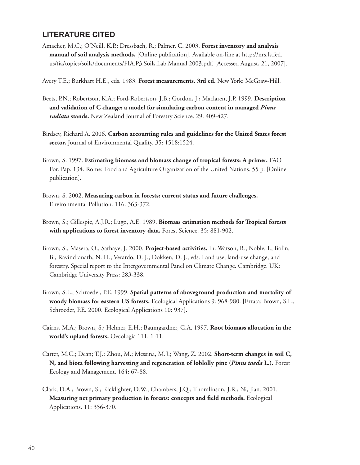## **LITERATURE CITED**

Amacher, M.C.; O'Neill, K.P.; Dressbach, R.; Palmer, C. 2003. **Forest inventory and analysis manual of soil analysis methods.** [Online publication]. Available on-line at http://nrs.fs.fed. us/fi a/topics/soils/documents/FIA.P3.Soils.Lab.Manual.2003.pdf. [Accessed August, 21, 2007].

Avery T.E.; Burkhart H.E., eds. 1983. **Forest measurements. 3rd ed.** New York: McGraw-Hill.

- Beets, P.N.; Robertson, K.A.; Ford-Robertson, J.B.; Gordon, J.; Maclaren, J.P. 1999. **Description and validation of C change: a model for simulating carbon content in managed** *Pinus radiata* **stands.** New Zealand Journal of Forestry Science. 29: 409-427.
- Birdsey, Richard A. 2006. **Carbon accounting rules and guidelines for the United States forest sector.** Journal of Environmental Quality. 35: 1518:1524.
- Brown, S. 1997. **Estimating biomass and biomass change of tropical forests: A primer.** FAO For. Pap. 134. Rome: Food and Agriculture Organization of the United Nations. 55 p. [Online publication].
- Brown, S. 2002. **Measuring carbon in forests: current status and future challenges.** Environmental Pollution. 116: 363-372.
- Brown, S.; Gillespie, A.J.R.; Lugo, A.E. 1989. **Biomass estimation methods for Tropical forests with applications to forest inventory data.** Forest Science. 35: 881-902.
- Brown, S.; Masera, O.; Sathaye; J. 2000. **Project-based activities.** In: Watson, R.; Noble, I.; Bolin, B.; Ravindranath, N. H.; Verardo, D. J.; Dokken, D. J., eds. Land use, land-use change, and forestry. Special report to the Intergovernmental Panel on Climate Change. Cambridge. UK: Cambridge University Press: 283-338.
- Brown, S.L.; Schroeder, P.E. 1999. **Spatial patterns of aboveground production and mortality of woody biomass for eastern US forests.** Ecological Applications 9: 968-980. [Errata: Brown, S.L., Schroeder, P.E. 2000. Ecological Applications 10: 937].
- Cairns, M.A.; Brown, S.; Helmer, E.H.; Baumgardner, G.A. 1997. **Root biomass allocation in the world's upland forests.** Oecologia 111: 1-11.
- Carter, M.C.; Dean; T.J.: Zhou, M.; Messina, M.J.; Wang, Z. 2002. **Short-term changes in soil C, N, and biota following harvesting and regeneration of loblolly pine (***Pinus taeda* **L.).** Forest Ecology and Management. 164: 67-88.
- Clark, D.A.; Brown, S.; Kicklighter, D.W.; Chambers, J.Q.; Thomlinson, J.R.; Ni, Jian. 2001. **Measuring net primary production in forests: concepts and field methods.** Ecological Applications. 11: 356-370.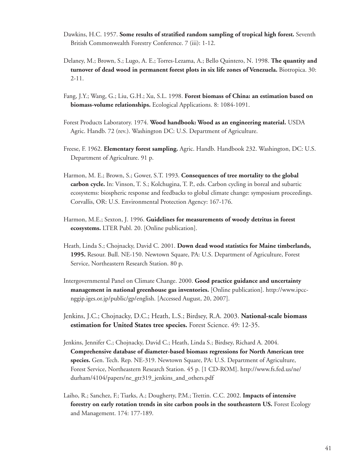- Dawkins, H.C. 1957. **Some results of stratified random sampling of tropical high forest.** Seventh British Commonwealth Forestry Conference. 7 (iii): 1-12.
- Delaney, M.; Brown, S.; Lugo, A. E.; Torres-Lezama, A.; Bello Quintero, N. 1998. **The quantity and turnover of dead wood in permanent forest plots in six life zones of Venezuela.** Biotropica. 30: 2-11.
- Fang, J.Y.; Wang, G.; Liu, G.H.; Xu, S.L. 1998. **Forest biomass of China: an estimation based on biomass-volume relationships.** Ecological Applications. 8: 1084-1091.
- Forest Products Laboratory. 1974. **Wood handbook: Wood as an engineering material.** USDA Agric. Handb. 72 (rev.). Washington DC: U.S. Department of Agriculture.
- Freese, F. 1962. **Elementary forest sampling.** Agric. Handb. Handbook 232. Washington, DC: U.S. Department of Agriculture. 91 p.
- Harmon, M. E.; Brown, S.; Gower, S.T. 1993. **Consequences of tree mortality to the global carbon cycle.** In: Vinson, T. S.; Kolchugina, T. P., eds. Carbon cycling in boreal and subartic ecosystems: biospheric response and feedbacks to global climate change: symposium proceedings. Corvallis, OR: U.S. Environmental Protection Agency: 167-176.
- Harmon, M.E.; Sexton, J. 1996. **Guidelines for measurements of woody detritus in forest ecosystems.** LTER Publ. 20. [Online publication].
- Heath, Linda S.; Chojnacky, David C. 2001. **Down dead wood statistics for Maine timberlands, 1995.** Resour. Bull. NE-150. Newtown Square, PA: U.S. Department of Agriculture, Forest Service, Northeastern Research Station. 80 p.
- Intergovernmental Panel on Climate Change. 2000. **Good practice guidance and uncertainty management in national greenhouse gas inventories.** [Online publication]. http://www.ipccnggip.iges.or.jp/public/gp/english. [Accessed August, 20, 2007].
- Jenkins, J.C.; Chojnacky, D.C.; Heath, L.S.; Birdsey, R.A. 2003. **National-scale biomass estimation for United States tree species.** Forest Science. 49: 12-35.
- Jenkins, Jennifer C.; Chojnacky, David C.; Heath, Linda S.; Birdsey, Richard A. 2004. **Comprehensive database of diameter-based biomass regressions for North American tree species.** Gen. Tech. Rep. NE-319. Newtown Square, PA: U.S. Department of Agriculture, Forest Service, Northeastern Research Station. 45 p. [1 CD-ROM]. http://www.fs.fed.us/ne/ durham/4104/papers/ne\_gtr319\_jenkins\_and\_others.pdf
- Laiho, R.; Sanchez, F.; Tiarks, A.; Dougherty, P.M.; Trettin. C.C. 2002. **Impacts of intensive forestry on early rotation trends in site carbon pools in the southeastern US.** Forest Ecology and Management. 174: 177-189.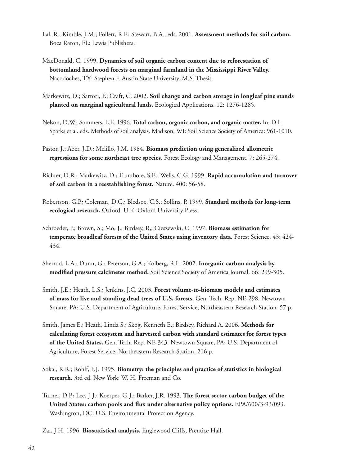- Lal, R.; Kimble, J.M.; Follett, R.F.; Stewart, B.A., eds. 2001. **Assessment methods for soil carbon.** Boca Raton, FL: Lewis Publishers.
- MacDonald, C. 1999. **Dynamics of soil organic carbon content due to reforestation of bottomland hardwood forests on marginal farmland in the Mississippi River Valley.** Nacodoches, TX: Stephen F. Austin State University. M.S. Thesis.
- Markewitz, D.; Sartori, F.; Craft, C. 2002. **Soil change and carbon storage in longleaf pine stands planted on marginal agricultural lands.** Ecological Applications. 12: 1276-1285.
- Nelson, D.W.; Sommers, L.E. 1996. **Total carbon, organic carbon, and organic matter.** In: D.L. Sparks et al. eds. Methods of soil analysis. Madison, WI: Soil Science Society of America: 961-1010.
- Pastor, J.; Aber, J.D.; Melillo, J.M. 1984. **Biomass prediction using generalized allometric regressions for some northeast tree species.** Forest Ecology and Management. 7: 265-274.
- Richter, D.R.; Markewitz, D.; Trumbore, S.E.; Wells, C.G. 1999. **Rapid accumulation and turnover of soil carbon in a reestablishing forest.** Nature. 400: 56-58.
- Robertson, G.P.; Coleman, D.C.; Bledsoe, C.S.; Sollins, P. 1999. **Standard methods for long-term ecological research.** Oxford, U.K: Oxford University Press.
- Schroeder, P.; Brown, S.; Mo, J.; Birdsey, R,; Cieszewski, C. 1997. **Biomass estimation for temperate broadleaf forests of the United States using inventory data.** Forest Science. 43: 424- 434.
- Sherrod, L.A.; Dunn, G.; Peterson, G.A.; Kolberg, R.L. 2002. **Inorganic carbon analysis by modified pressure calcimeter method.** Soil Science Society of America Journal. 66: 299-305.
- Smith, J.E.; Heath, L.S.; Jenkins, J.C. 2003. **Forest volume-to-biomass models and estimates of mass for live and standing dead trees of U.S. forests.** Gen. Tech. Rep. NE-298. Newtown Square, PA: U.S. Department of Agriculture, Forest Service, Northeastern Research Station. 57 p.
- Smith, James E.; Heath, Linda S.; Skog, Kenneth E.; Birdsey, Richard A. 2006. **Methods for calculating forest ecosystem and harvested carbon with standard estimates for forest types of the United States.** Gen. Tech. Rep. NE-343. Newtown Square, PA: U.S. Department of Agriculture, Forest Service, Northeastern Research Station. 216 p.
- Sokal, R.R.; Rohlf, F.J. 1995. **Biometry: the principles and practice of statistics in biological research.** 3rd ed. New York: W. H. Freeman and Co.
- Turner, D.P.; Lee, J.J.; Koerper, G.J.; Barker, J.R. 1993. **The forest sector carbon budget of the United States: carbon pools and flux under alternative policy options.** EPA/600/3-93/093. Washington, DC: U.S. Environmental Protection Agency.
- Zar, J.H. 1996. **Biostatistical analysis.** Englewood Cliffs, Prentice Hall.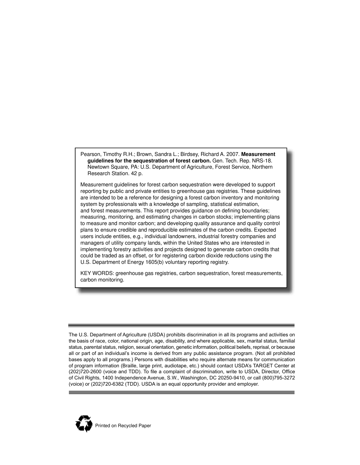Pearson, Timothy R.H.; Brown, Sandra L.; Birdsey, Richard A. 2007. **Measurement guidelines for the sequestration of forest carbon.** Gen. Tech. Rep. NRS-18. Newtown Square, PA: U.S. Department of Agriculture, Forest Service, Northern Research Station. 42 p.

Measurement guidelines for forest carbon sequestration were developed to support reporting by public and private entities to greenhouse gas registries. These guidelines are intended to be a reference for designing a forest carbon inventory and monitoring system by professionals with a knowledge of sampling, statistical estimation, and forest measurements. This report provides guidance on defining boundaries; measuring, monitoring, and estimating changes in carbon stocks; implementing plans to measure and monitor carbon; and developing quality assurance and quality control plans to ensure credible and reproducible estimates of the carbon credits. Expected users include entities, e.g., individual landowners, industrial forestry companies and managers of utility company lands, within the United States who are interested in implementing forestry activities and projects designed to generate carbon credits that could be traded as an offset, or for registering carbon dioxide reductions using the U.S. Department of Energy 1605(b) voluntary reporting registry.

KEY WORDS: greenhouse gas registries, carbon sequestration, forest measurements, carbon monitoring.

The U.S. Department of Agriculture (USDA) prohibits discrimination in all its programs and activities on the basis of race, color, national origin, age, disability, and where applicable, sex, marital status, familial status, parental status, religion, sexual orientation, genetic information, political beliefs, reprisal, or because all or part of an individual's income is derived from any public assistance program. (Not all prohibited bases apply to all programs.) Persons with disabilities who require alternate means for communication of program information (Braille, large print, audiotape, etc.) should contact USDA's TARGET Center at (202)720-2600 (voice and TDD). To file a complaint of discrimination, write to USDA, Director, Office of Civil Rights, 1400 Independence Avenue, S.W., Washington, DC 20250-9410, or call (800)795-3272 (voice) or (202)720-6382 (TDD). USDA is an equal opportunity provider and employer.